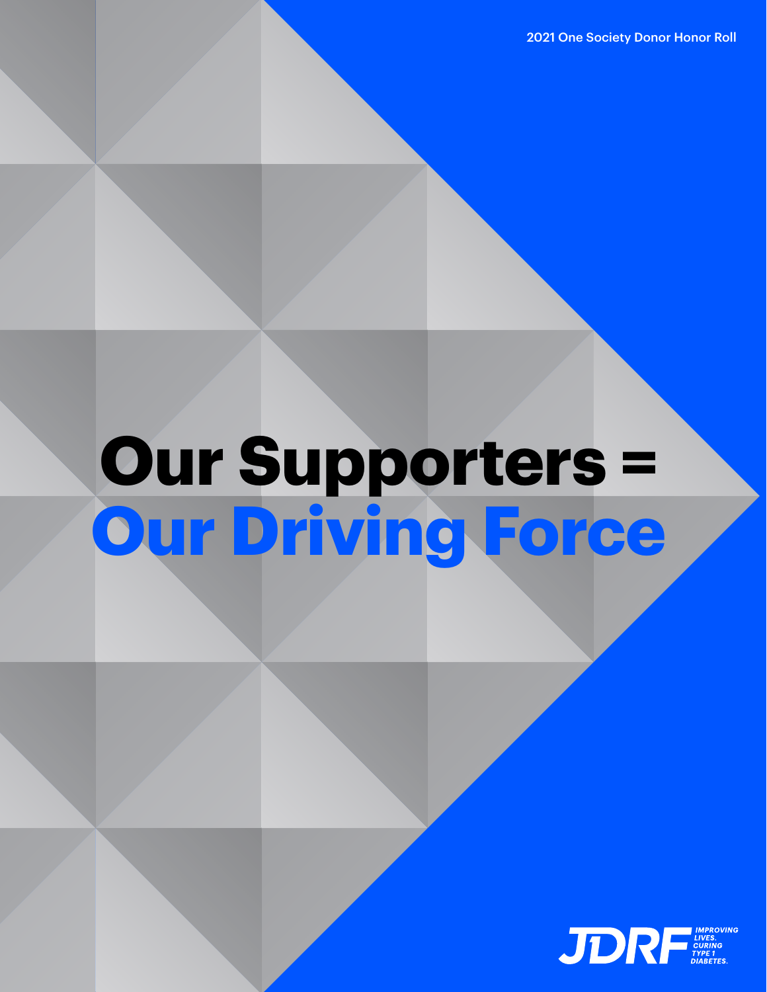2021 One Society Donor Honor Roll

# **Our Supporters = Our Driving Force**

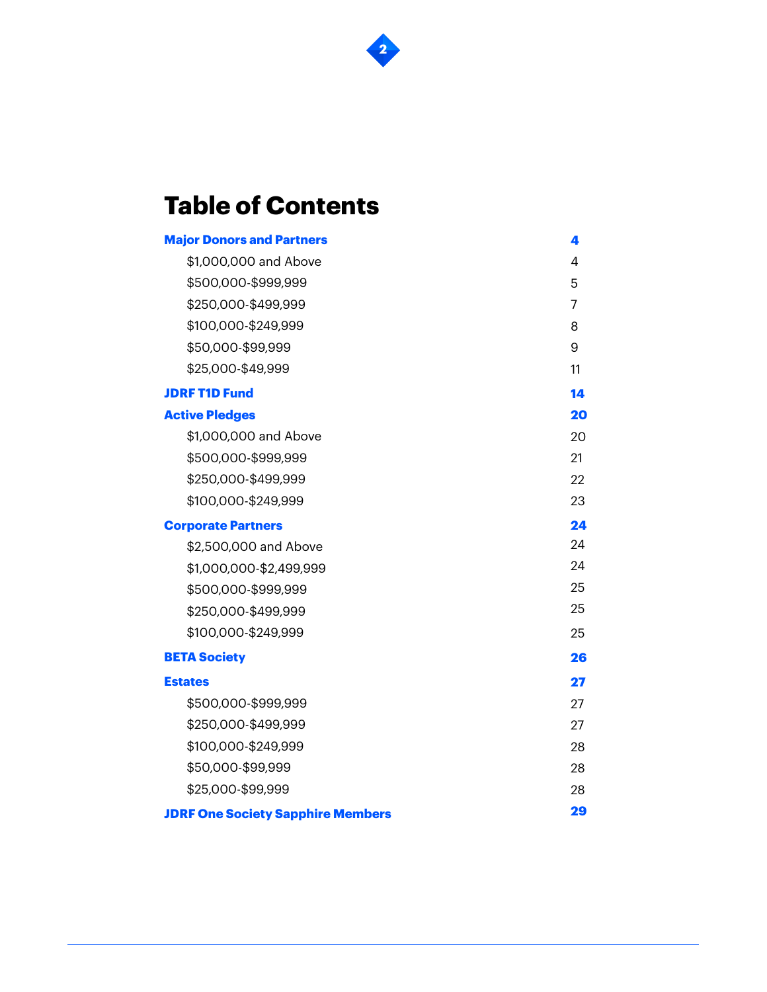

# **Table of Contents**

| <b>Major Donors and Partners</b>         | 4  |
|------------------------------------------|----|
| \$1,000,000 and Above                    | 4  |
| \$500,000-\$999,999                      | 5  |
| \$250,000-\$499,999                      | 7  |
| \$100,000-\$249,999                      | 8  |
| \$50,000-\$99,999                        | 9  |
| \$25,000-\$49,999                        | 11 |
| <b>JDRF T1D Fund</b>                     | 14 |
| <b>Active Pledges</b>                    | 20 |
| \$1,000,000 and Above                    | 20 |
| \$500,000-\$999,999                      | 21 |
| \$250,000-\$499,999                      | 22 |
| \$100,000-\$249,999                      | 23 |
| <b>Corporate Partners</b>                | 24 |
| \$2,500,000 and Above                    | 24 |
| \$1,000,000-\$2,499,999                  | 24 |
| \$500,000-\$999,999                      | 25 |
| \$250,000-\$499,999                      | 25 |
| \$100,000-\$249,999                      | 25 |
| <b>BETA Society</b>                      | 26 |
| <b>Estates</b>                           | 27 |
| \$500,000-\$999,999                      | 27 |
| \$250,000-\$499,999                      | 27 |
| \$100,000-\$249,999                      | 28 |
| \$50,000-\$99,999                        | 28 |
| \$25,000-\$99,999                        | 28 |
| <b>JDRF One Society Sapphire Members</b> | 29 |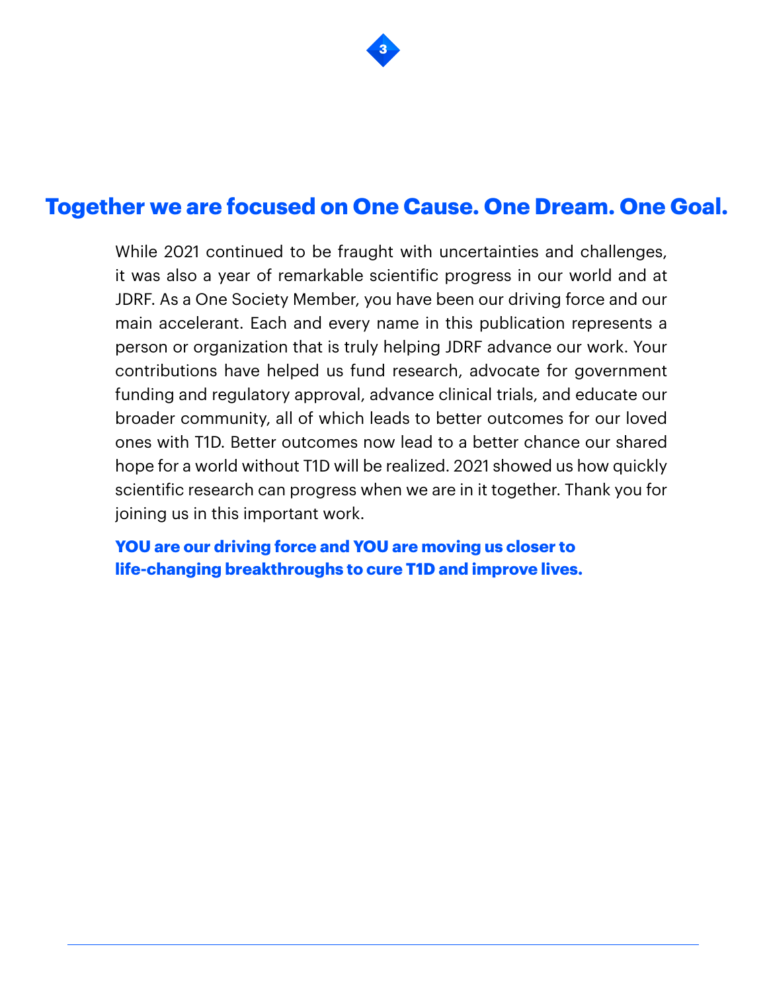

# **Together we are focused on One Cause. One Dream. One Goal.**

While 2021 continued to be fraught with uncertainties and challenges, it was also a year of remarkable scientific progress in our world and at JDRF. As a One Society Member, you have been our driving force and our main accelerant. Each and every name in this publication represents a person or organization that is truly helping JDRF advance our work. Your contributions have helped us fund research, advocate for government funding and regulatory approval, advance clinical trials, and educate our broader community, all of which leads to better outcomes for our loved ones with T1D. Better outcomes now lead to a better chance our shared hope for a world without T1D will be realized. 2021 showed us how quickly scientific research can progress when we are in it together. Thank you for joining us in this important work.

**YOU are our driving force and YOU are moving us closer to life-changing breakthroughs to cure T1D and improve lives.**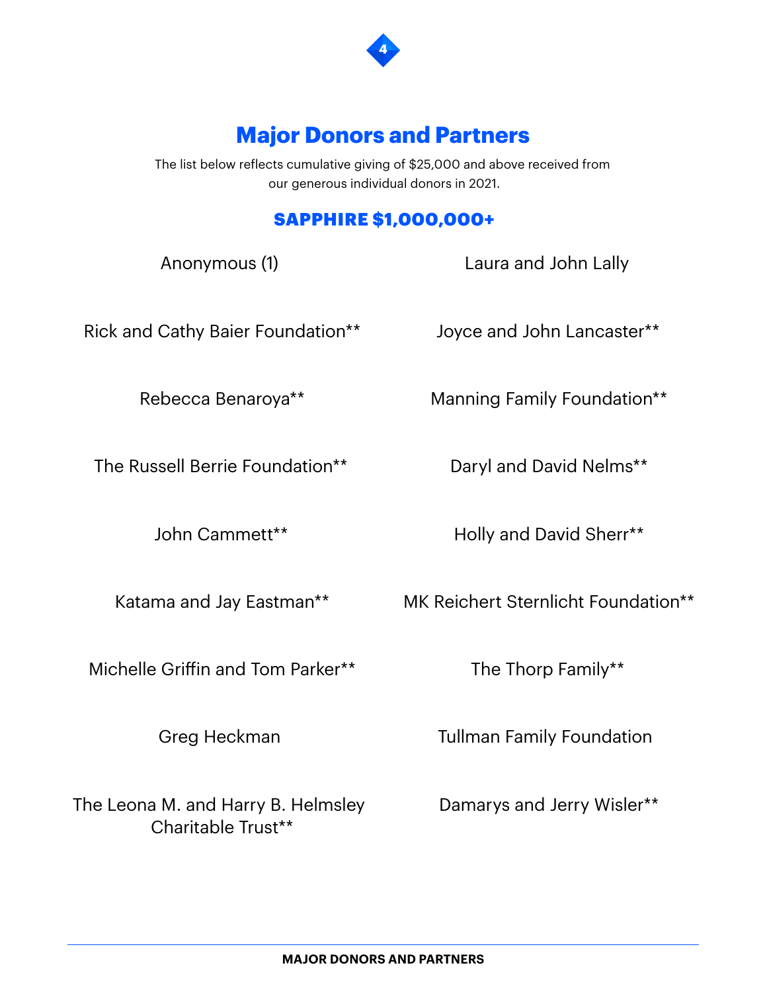

# **Major Donors and Partners**

The list below reflects cumulative giving of \$25,000 and above received from our generous individual donors in 2021.

## SAPPHIRE \$1,000,000+

Anonymous (1)

Laura and John Lally

Rick and Cathy Baier Foundation\*\*

Joyce and John Lancaster\*\*

Rebecca Benaroya\*\*

The Russell Berrie Foundation\*\*

John Cammett\*\*

Katama and Jay Eastman\*\*

Michelle Griffin and Tom Parker\*\*

Greg Heckman

The Leona M. and Harry B. Helmsley Charitable Trust\*\*

Daryl and David Nelms\*\*

Manning Family Foundation\*\*

Holly and David Sherr\*\*

MK Reichert Sternlicht Foundation\*\*

The Thorp Family\*\*

Tullman Family Foundation

Damarys and Jerry Wisler\*\*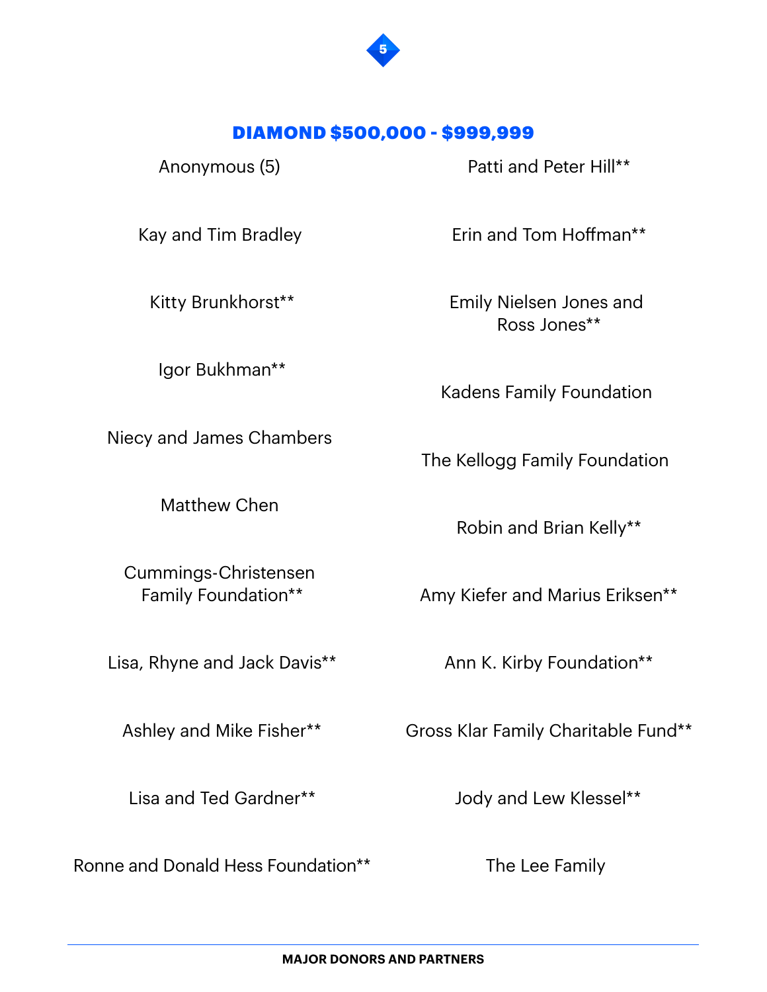

#### DIAMOND \$500,000 - \$999,999

Anonymous (5)

Patti and Peter Hill\*\*

Kay and Tim Bradley

Kitty Brunkhorst\*\*

Igor Bukhman\*\*

Niecy and James Chambers

Matthew Chen

Cummings-Christensen Family Foundation\*\*

Lisa, Rhyne and Jack Davis\*\*

Ashley and Mike Fisher\*\*

Lisa and Ted Gardner\*\*

Ronne and Donald Hess Foundation\*\*

Erin and Tom Hoffman\*\*

Emily Nielsen Jones and Ross Jones\*\*

Kadens Family Foundation

The Kellogg Family Foundation

Robin and Brian Kelly\*\*

Amy Kiefer and Marius Eriksen\*\*

Ann K. Kirby Foundation\*\*

Gross Klar Family Charitable Fund\*\*

Jody and Lew Klessel\*\*

The Lee Family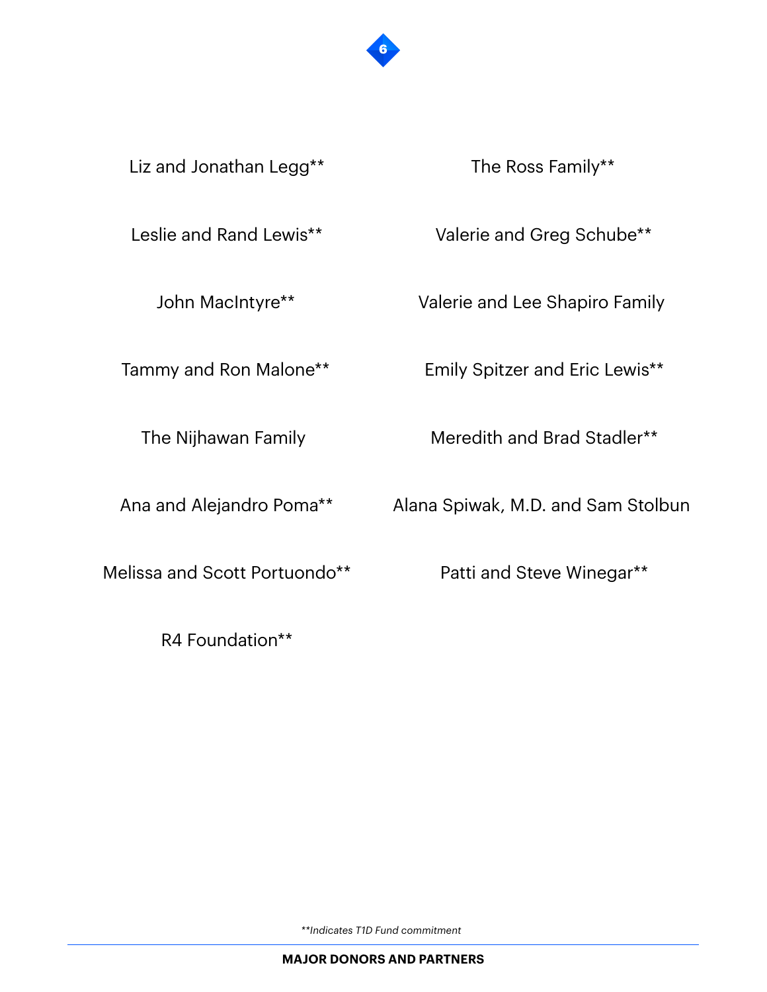

Liz and Jonathan Legg\*\*

The Ross Family\*\*

Leslie and Rand Lewis\*\*

John MacIntyre\*\*

Tammy and Ron Malone\*\*

The Nijhawan Family

Ana and Alejandro Poma\*\*

Melissa and Scott Portuondo\*\*

R4 Foundation\*\*

Valerie and Greg Schube\*\*

Valerie and Lee Shapiro Family

Emily Spitzer and Eric Lewis\*\*

Meredith and Brad Stadler\*\*

Alana Spiwak, M.D. and Sam Stolbun

Patti and Steve Winegar\*\*

*\*\*Indicates T1D Fund commitment*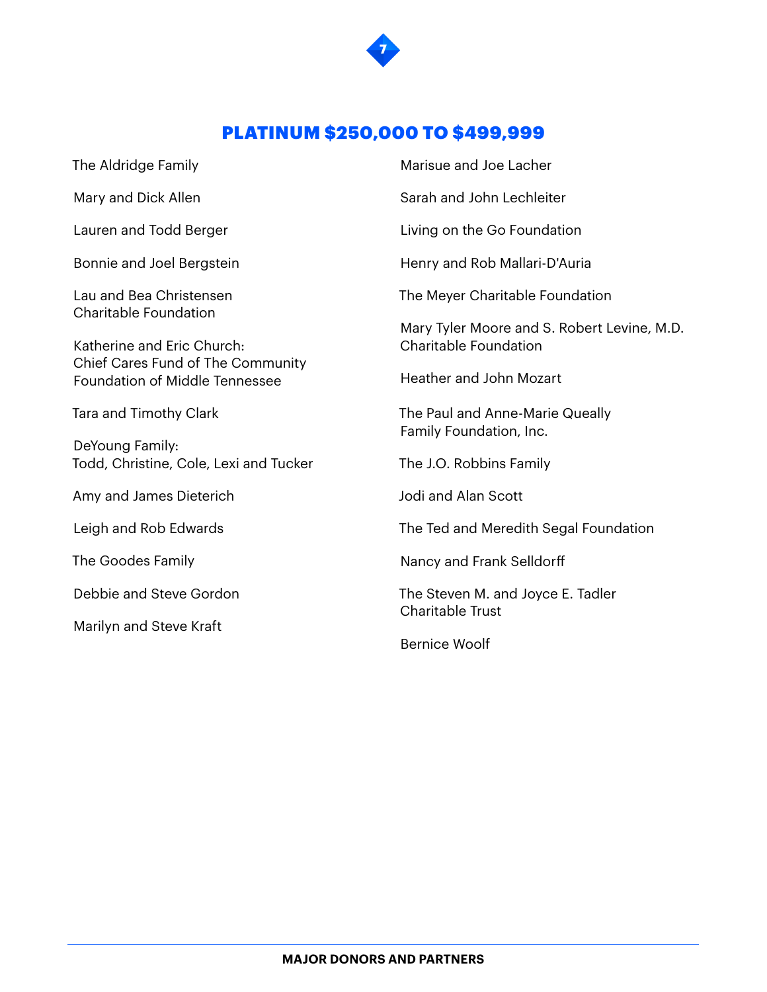

#### PLATINUM \$250,000 TO \$499,999

The Aldridge Family

Mary and Dick Allen

Lauren and Todd Berger

Bonnie and Joel Bergstein

Lau and Bea Christensen Charitable Foundation

Katherine and Eric Church: Chief Cares Fund of The Community Foundation of Middle Tennessee

Tara and Timothy Clark

DeYoung Family: Todd, Christine, Cole, Lexi and Tucker

Amy and James Dieterich

Leigh and Rob Edwards

The Goodes Family

Debbie and Steve Gordon

Marilyn and Steve Kraft

Marisue and Joe Lacher

Sarah and John Lechleiter

Living on the Go Foundation

Henry and Rob Mallari-D'Auria

The Meyer Charitable Foundation

Mary Tyler Moore and S. Robert Levine, M.D. Charitable Foundation

Heather and John Mozart

The Paul and Anne-Marie Queally Family Foundation, Inc.

The J.O. Robbins Family

Jodi and Alan Scott

The Ted and Meredith Segal Foundation

Nancy and Frank Selldorff

The Steven M. and Joyce E. Tadler Charitable Trust

Bernice Woolf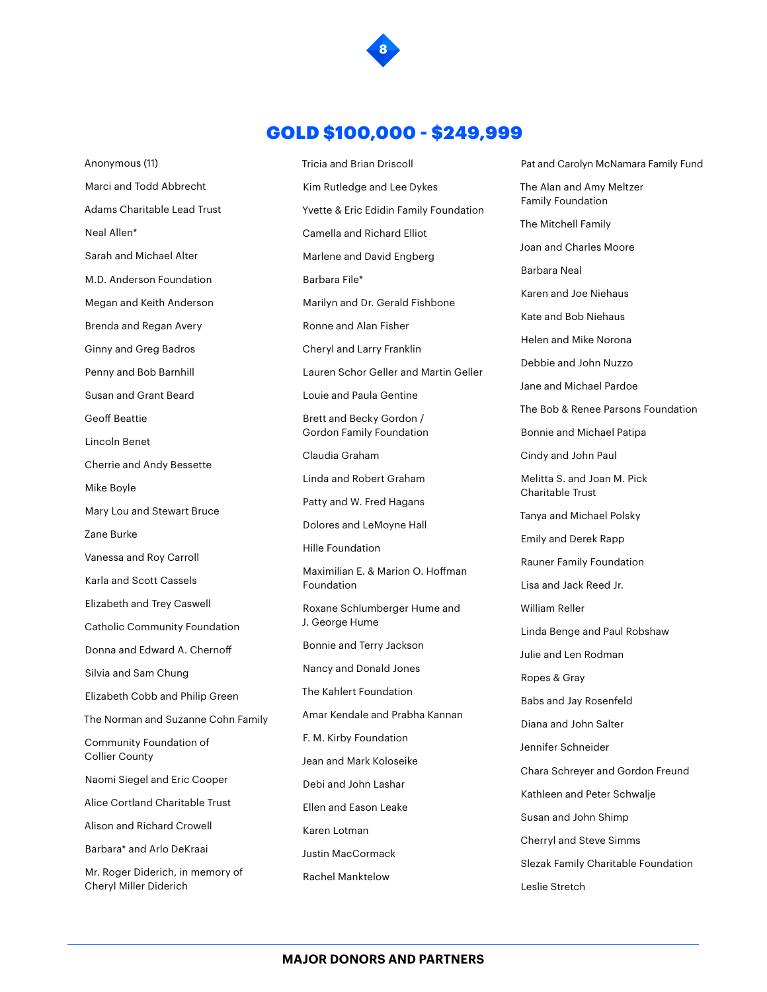

#### GOLD \$100,000 - \$249,999

Anonymous (11) Marci and Todd Abbrecht Adams Charitable Lead Trust Neal Allen\* Sarah and Michael Alter M.D. Anderson Foundation Megan and Keith Anderson Brenda and Regan Avery Ginny and Greg Badros Penny and Bob Barnhill Susan and Grant Beard Geoff Beattie Lincoln Benet Cherrie and Andy Bessette Mike Boyle Mary Lou and Stewart Bruce Zane Burke Vanessa and Roy Carroll Karla and Scott Cassels Elizabeth and Trey Caswell Catholic Community Foundation Donna and Edward A. Chernoff Silvia and Sam Chung Elizabeth Cobb and Philip Green The Norman and Suzanne Cohn Family Community Foundation of Collier County Naomi Siegel and Eric Cooper Alice Cortland Charitable Trust Alison and Richard Crowell Barbara\* and Arlo DeKraai Mr. Roger Diderich, in memory of Cheryl Miller Diderich

Tricia and Brian Driscoll Kim Rutledge and Lee Dykes Yvette & Eric Edidin Family Foundation Camella and Richard Elliot Marlene and David Engberg Barbara File\* Marilyn and Dr. Gerald Fishbone Ronne and Alan Fisher Cheryl and Larry Franklin Lauren Schor Geller and Martin Geller Louie and Paula Gentine Brett and Becky Gordon / Gordon Family Foundation Claudia Graham Linda and Robert Graham Patty and W. Fred Hagans Dolores and LeMoyne Hall Hille Foundation Maximilian E. & Marion O. Hoffman Foundation Roxane Schlumberger Hume and J. George Hume Bonnie and Terry Jackson Nancy and Donald Jones The Kahlert Foundation Amar Kendale and Prabha Kannan F. M. Kirby Foundation Jean and Mark Koloseike Debi and John Lashar Ellen and Eason Leake Karen Lotman Justin MacCormack Rachel Manktelow

Pat and Carolyn McNamara Family Fund The Alan and Amy Meltzer Family Foundation The Mitchell Family Joan and Charles Moore Barbara Neal Karen and Joe Niehaus Kate and Bob Niehaus Helen and Mike Norona Debbie and John Nuzzo Jane and Michael Pardoe The Bob & Renee Parsons Foundation Bonnie and Michael Patipa Cindy and John Paul Melitta S. and Joan M. Pick Charitable Trust Tanya and Michael Polsky Emily and Derek Rapp Rauner Family Foundation Lisa and Jack Reed Jr. William Reller Linda Benge and Paul Robshaw Julie and Len Rodman Ropes & Gray Babs and Jay Rosenfeld Diana and John Salter Jennifer Schneider Chara Schreyer and Gordon Freund Kathleen and Peter Schwalje Susan and John Shimp Cherryl and Steve Simms Slezak Family Charitable Foundation Leslie Stretch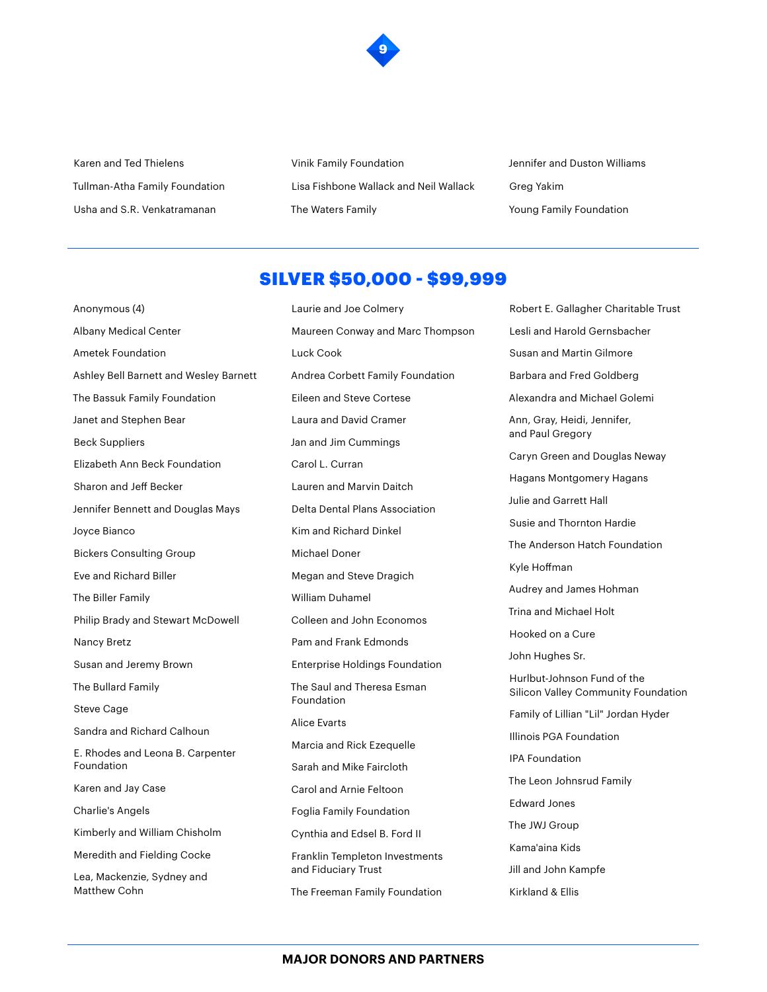

Karen and Ted Thielens Tullman-Atha Family Foundation Usha and S.R. Venkatramanan

Vinik Family Foundation Lisa Fishbone Wallack and Neil Wallack The Waters Family

Jennifer and Duston Williams Greg Yakim Young Family Foundation

#### SILVER \$50,000 - \$99,999

Laurie and Joe Colmery

Anonymous (4) Albany Medical Center Ametek Foundation Ashley Bell Barnett and Wesley Barnett The Bassuk Family Foundation Janet and Stephen Bear Beck Suppliers Elizabeth Ann Beck Foundation Sharon and Jeff Becker Jennifer Bennett and Douglas Mays Joyce Bianco Bickers Consulting Group Eve and Richard Biller The Biller Family Philip Brady and Stewart McDowell Nancy Bretz Susan and Jeremy Brown The Bullard Family Steve Cage Sandra and Richard Calhoun E. Rhodes and Leona B. Carpenter Foundation Karen and Jay Case Charlie's Angels Kimberly and William Chisholm Meredith and Fielding Cocke Lea, Mackenzie, Sydney and Matthew Cohn

Maureen Conway and Marc Thompson Luck Cook Andrea Corbett Family Foundation Eileen and Steve Cortese Laura and David Cramer Jan and Jim Cummings Carol L. Curran Lauren and Marvin Daitch Delta Dental Plans Association Kim and Richard Dinkel Michael Doner Megan and Steve Dragich William Duhamel Colleen and John Economos Pam and Frank Edmonds Enterprise Holdings Foundation The Saul and Theresa Esman Foundation Alice Evarts Marcia and Rick Ezequelle Sarah and Mike Faircloth Carol and Arnie Feltoon Foglia Family Foundation Cynthia and Edsel B. Ford II Franklin Templeton Investments and Fiduciary Trust The Freeman Family Foundation

Robert E. Gallagher Charitable Trust Lesli and Harold Gernsbacher Susan and Martin Gilmore Barbara and Fred Goldberg Alexandra and Michael Golemi Ann, Gray, Heidi, Jennifer, and Paul Gregory Caryn Green and Douglas Neway Hagans Montgomery Hagans Julie and Garrett Hall Susie and Thornton Hardie The Anderson Hatch Foundation Kyle Hoffman Audrey and James Hohman Trina and Michael Holt Hooked on a Cure John Hughes Sr. Hurlbut-Johnson Fund of the Silicon Valley Community Foundation Family of Lillian "Lil" Jordan Hyder Illinois PGA Foundation IPA Foundation The Leon Johnsrud Family Edward Jones The JWJ Group Kama'aina Kids Jill and John Kampfe Kirkland & Ellis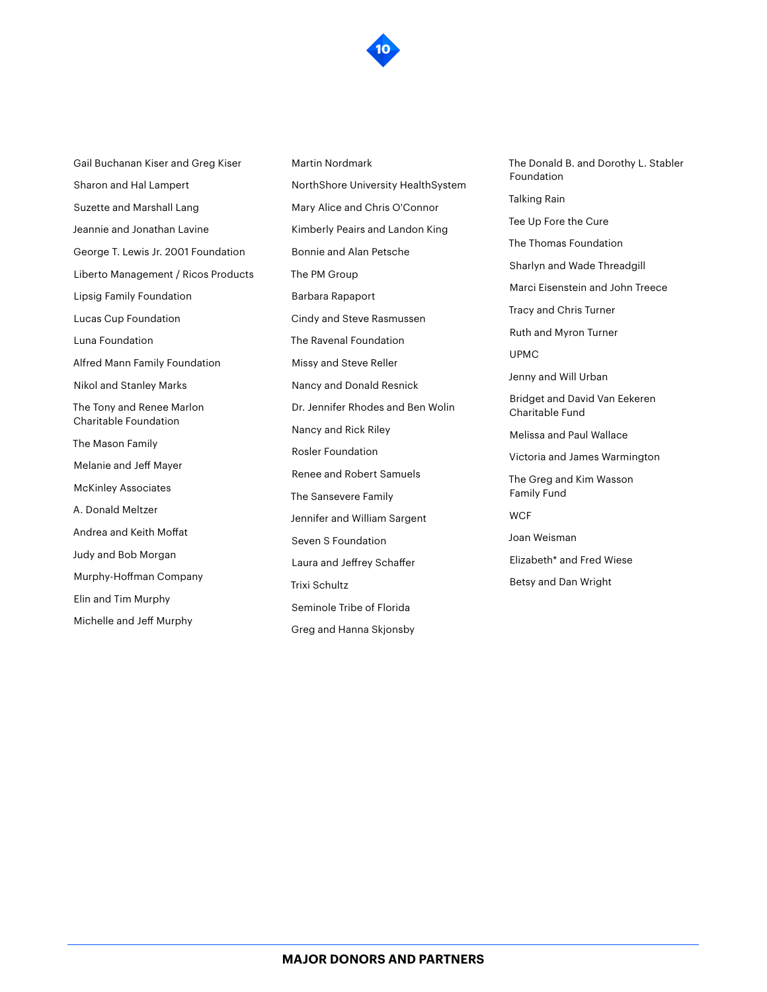

Gail Buchanan Kiser and Greg Kiser Sharon and Hal Lampert Suzette and Marshall Lang Jeannie and Jonathan Lavine George T. Lewis Jr. 2001 Foundation Liberto Management / Ricos Products Lipsig Family Foundation Lucas Cup Foundation Luna Foundation Alfred Mann Family Foundation Nikol and Stanley Marks The Tony and Renee Marlon Charitable Foundation The Mason Family Melanie and Jeff Mayer McKinley Associates A. Donald Meltzer Andrea and Keith Moffat Judy and Bob Morgan Murphy-Hoffman Company Elin and Tim Murphy Michelle and Jeff Murphy

Martin Nordmark NorthShore University HealthSystem Mary Alice and Chris O'Connor Kimberly Peairs and Landon King Bonnie and Alan Petsche The PM Group Barbara Rapaport Cindy and Steve Rasmussen The Ravenal Foundation Missy and Steve Reller Nancy and Donald Resnick Dr. Jennifer Rhodes and Ben Wolin Nancy and Rick Riley Rosler Foundation Renee and Robert Samuels The Sansevere Family Jennifer and William Sargent Seven S Foundation Laura and Jeffrey Schaffer Trixi Schultz Seminole Tribe of Florida Greg and Hanna Skjonsby

The Donald B. and Dorothy L. Stabler Foundation Talking Rain Tee Up Fore the Cure The Thomas Foundation Sharlyn and Wade Threadgill Marci Eisenstein and John Treece Tracy and Chris Turner Ruth and Myron Turner UPMC Jenny and Will Urban Bridget and David Van Eekeren Charitable Fund Melissa and Paul Wallace Victoria and James Warmington The Greg and Kim Wasson Family Fund **WCF** Joan Weisman Elizabeth\* and Fred Wiese Betsy and Dan Wright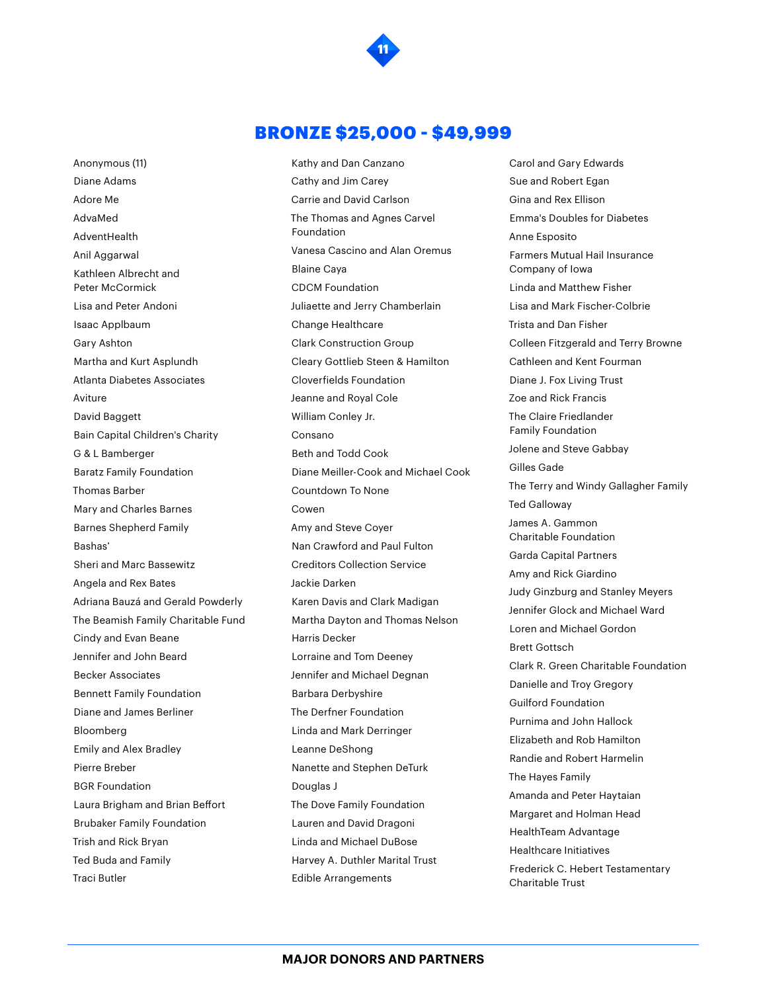

**11**

Anonymous (11) Diane Adams Adore Me AdvaMed AdventHealth Anil Aggarwal Kathleen Albrecht and Peter McCormick Lisa and Peter Andoni Isaac Applbaum Gary Ashton Martha and Kurt Asplundh Atlanta Diabetes Associates Aviture David Baggett Bain Capital Children's Charity G & L Bamberger Baratz Family Foundation Thomas Barber Mary and Charles Barnes Barnes Shepherd Family Bashas' Sheri and Marc Bassewitz Angela and Rex Bates Adriana Bauzá and Gerald Powderly The Beamish Family Charitable Fund Cindy and Evan Beane Jennifer and John Beard Becker Associates Bennett Family Foundation Diane and James Berliner Bloomberg Emily and Alex Bradley Pierre Breber BGR Foundation Laura Brigham and Brian Beffort Brubaker Family Foundation Trish and Rick Bryan Ted Buda and Family Traci Butler

Kathy and Dan Canzano Cathy and Jim Carey Carrie and David Carlson The Thomas and Agnes Carvel Foundation Vanesa Cascino and Alan Oremus Blaine Caya CDCM Foundation Juliaette and Jerry Chamberlain Change Healthcare Clark Construction Group Cleary Gottlieb Steen & Hamilton Cloverfields Foundation Jeanne and Royal Cole William Conley Jr. Consano Beth and Todd Cook Diane Meiller-Cook and Michael Cook Countdown To None Cowen Amy and Steve Coyer Nan Crawford and Paul Fulton Creditors Collection Service Jackie Darken Karen Davis and Clark Madigan Martha Dayton and Thomas Nelson Harris Decker Lorraine and Tom Deeney Jennifer and Michael Degnan Barbara Derbyshire The Derfner Foundation Linda and Mark Derringer Leanne DeShong Nanette and Stephen DeTurk Douglas J The Dove Family Foundation Lauren and David Dragoni Linda and Michael DuBose Harvey A. Duthler Marital Trust Edible Arrangements

Carol and Gary Edwards Sue and Robert Egan Gina and Rex Ellison Emma's Doubles for Diabetes Anne Esposito Farmers Mutual Hail Insurance Company of Iowa Linda and Matthew Fisher Lisa and Mark Fischer-Colbrie Trista and Dan Fisher Colleen Fitzgerald and Terry Browne Cathleen and Kent Fourman Diane J. Fox Living Trust Zoe and Rick Francis The Claire Friedlander Family Foundation Jolene and Steve Gabbay Gilles Gade The Terry and Windy Gallagher Family Ted Galloway James A. Gammon Charitable Foundation Garda Capital Partners Amy and Rick Giardino Judy Ginzburg and Stanley Meyers Jennifer Glock and Michael Ward Loren and Michael Gordon Brett Gottsch Clark R. Green Charitable Foundation Danielle and Troy Gregory Guilford Foundation Purnima and John Hallock Elizabeth and Rob Hamilton Randie and Robert Harmelin The Hayes Family Amanda and Peter Haytaian Margaret and Holman Head HealthTeam Advantage Healthcare Initiatives Frederick C. Hebert Testamentary Charitable Trust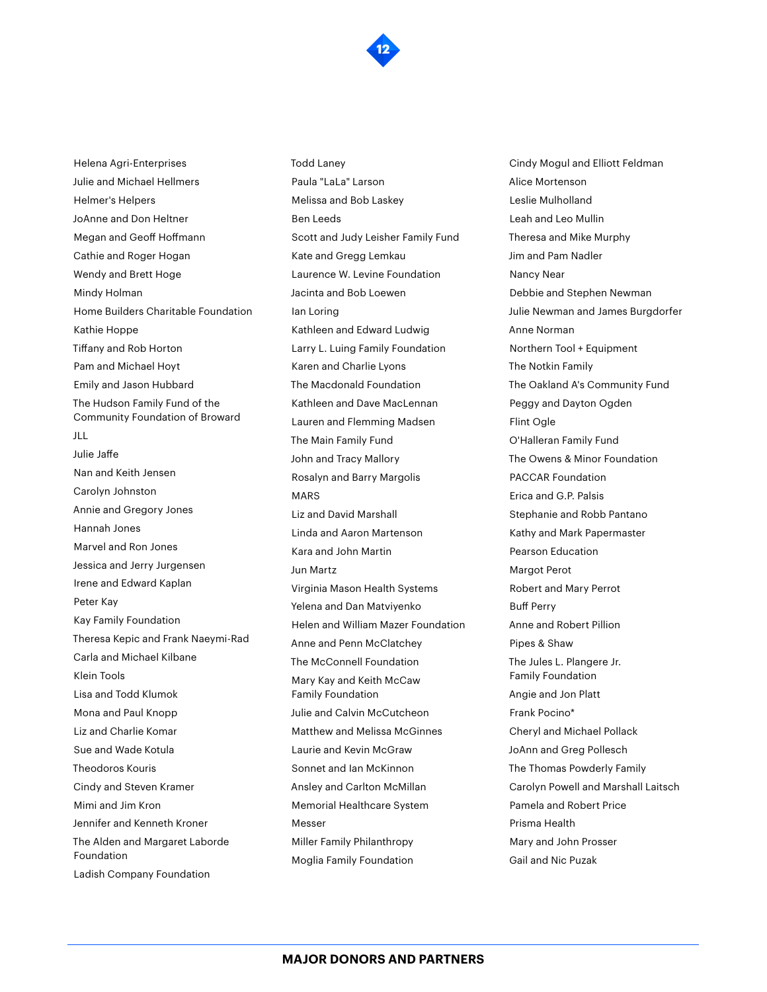Helena Agri-Enterprises Julie and Michael Hellmers Helmer's Helpers JoAnne and Don Heltner Megan and Geoff Hoffmann Cathie and Roger Hogan Wendy and Brett Hoge Mindy Holman Home Builders Charitable Foundation Kathie Hoppe Tiffany and Rob Horton Pam and Michael Hoyt Emily and Jason Hubbard The Hudson Family Fund of the Community Foundation of Broward JLL Julie Jaffe Nan and Keith Jensen Carolyn Johnston Annie and Gregory Jones Hannah Jones Marvel and Ron Jones Jessica and Jerry Jurgensen Irene and Edward Kaplan Peter Kay Kay Family Foundation Theresa Kepic and Frank Naeymi-Rad Carla and Michael Kilbane Klein Tools Lisa and Todd Klumok Mona and Paul Knopp Liz and Charlie Komar Sue and Wade Kotula Theodoros Kouris Cindy and Steven Kramer Mimi and Jim Kron Jennifer and Kenneth Kroner The Alden and Margaret Laborde Foundation

Ladish Company Foundation

MARS Jun Martz Messer

Paula "LaLa" Larson Melissa and Bob Laskey Ben Leeds Scott and Judy Leisher Family Fund Kate and Gregg Lemkau Laurence W. Levine Foundation Jacinta and Bob Loewen Ian Loring Kathleen and Edward Ludwig Larry L. Luing Family Foundation Karen and Charlie Lyons The Macdonald Foundation Kathleen and Dave MacLennan Lauren and Flemming Madsen The Main Family Fund John and Tracy Mallory Rosalyn and Barry Margolis Liz and David Marshall Linda and Aaron Martenson Kara and John Martin Virginia Mason Health Systems Yelena and Dan Matviyenko Helen and William Mazer Foundation Anne and Penn McClatchey The McConnell Foundation Mary Kay and Keith McCaw Family Foundation Julie and Calvin McCutcheon Matthew and Melissa McGinnes Laurie and Kevin McGraw Sonnet and Ian McKinnon Ansley and Carlton McMillan Memorial Healthcare System Miller Family Philanthropy Moglia Family Foundation

**12**

Todd Laney

Cindy Mogul and Elliott Feldman Alice Mortenson Leslie Mulholland Leah and Leo Mullin Theresa and Mike Murphy Jim and Pam Nadler Nancy Near Debbie and Stephen Newman Julie Newman and James Burgdorfer Anne Norman Northern Tool + Equipment The Notkin Family The Oakland A's Community Fund Peggy and Dayton Ogden Flint Ogle O'Halleran Family Fund The Owens & Minor Foundation PACCAR Foundation Erica and G.P. Palsis Stephanie and Robb Pantano Kathy and Mark Papermaster Pearson Education Margot Perot Robert and Mary Perrot Buff Perry Anne and Robert Pillion Pipes & Shaw The Jules L. Plangere Jr. Family Foundation Angie and Jon Platt Frank Pocino\* Cheryl and Michael Pollack JoAnn and Greg Pollesch The Thomas Powderly Family Carolyn Powell and Marshall Laitsch Pamela and Robert Price Prisma Health Mary and John Prosser Gail and Nic Puzak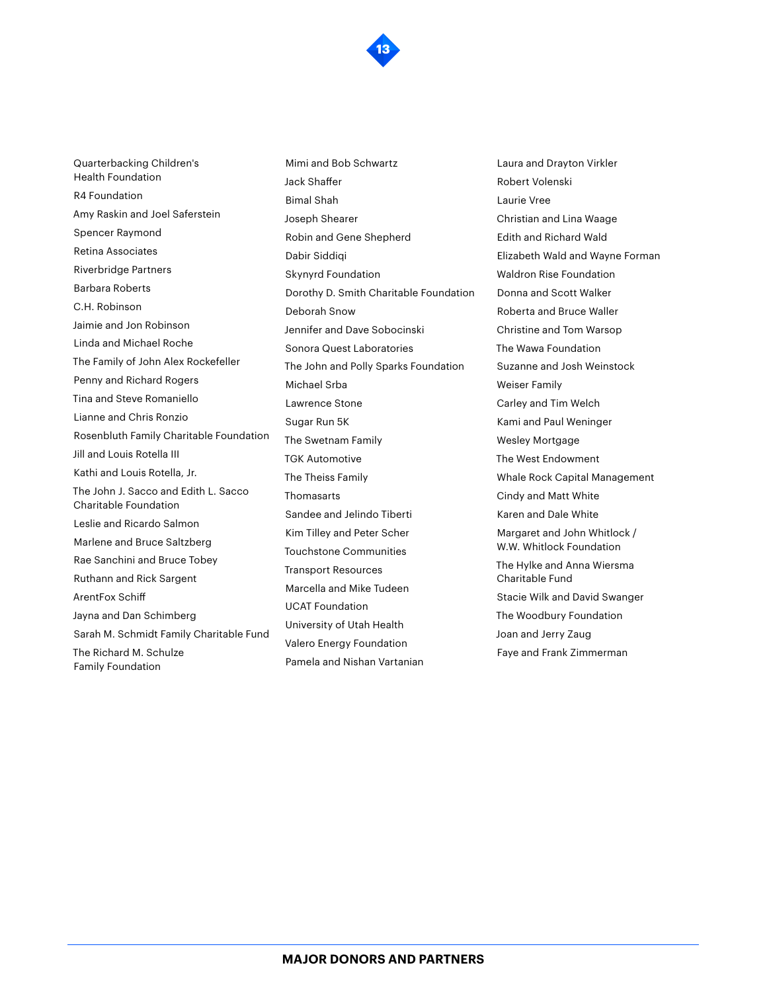Quarterbacking Children's Health Foundation R4 Foundation Amy Raskin and Joel Saferstein Spencer Raymond Retina Associates Riverbridge Partners Barbara Roberts C.H. Robinson Jaimie and Jon Robinson Linda and Michael Roche The Family of John Alex Rockefeller Penny and Richard Rogers Tina and Steve Romaniello Lianne and Chris Ronzio Rosenbluth Family Charitable Foundation Jill and Louis Rotella III Kathi and Louis Rotella, Jr. The John J. Sacco and Edith L. Sacco Charitable Foundation Leslie and Ricardo Salmon Marlene and Bruce Saltzberg Rae Sanchini and Bruce Tobey Ruthann and Rick Sargent ArentFox Schiff Jayna and Dan Schimberg Sarah M. Schmidt Family Charitable Fund The Richard M. Schulze Family Foundation

Mimi and Bob Schwartz Jack Shaffer Bimal Shah Joseph Shearer Robin and Gene Shepherd Dabir Siddiqi Skynyrd Foundation Dorothy D. Smith Charitable Foundation Deborah Snow Jennifer and Dave Sobocinski Sonora Quest Laboratories The John and Polly Sparks Foundation Michael Srba Lawrence Stone Sugar Run 5K The Swetnam Family TGK Automotive The Theiss Family Thomasarts Sandee and Jelindo Tiberti Kim Tilley and Peter Scher Touchstone Communities Transport Resources Marcella and Mike Tudeen UCAT Foundation University of Utah Health Valero Energy Foundation Pamela and Nishan Vartanian

Laura and Drayton Virkler Robert Volenski Laurie Vree Christian and Lina Waage Edith and Richard Wald Elizabeth Wald and Wayne Forman Waldron Rise Foundation Donna and Scott Walker Roberta and Bruce Waller Christine and Tom Warsop The Wawa Foundation Suzanne and Josh Weinstock Weiser Family Carley and Tim Welch Kami and Paul Weninger Wesley Mortgage The West Endowment Whale Rock Capital Management Cindy and Matt White Karen and Dale White Margaret and John Whitlock / W.W. Whitlock Foundation The Hylke and Anna Wiersma Charitable Fund Stacie Wilk and David Swanger The Woodbury Foundation Joan and Jerry Zaug Faye and Frank Zimmerman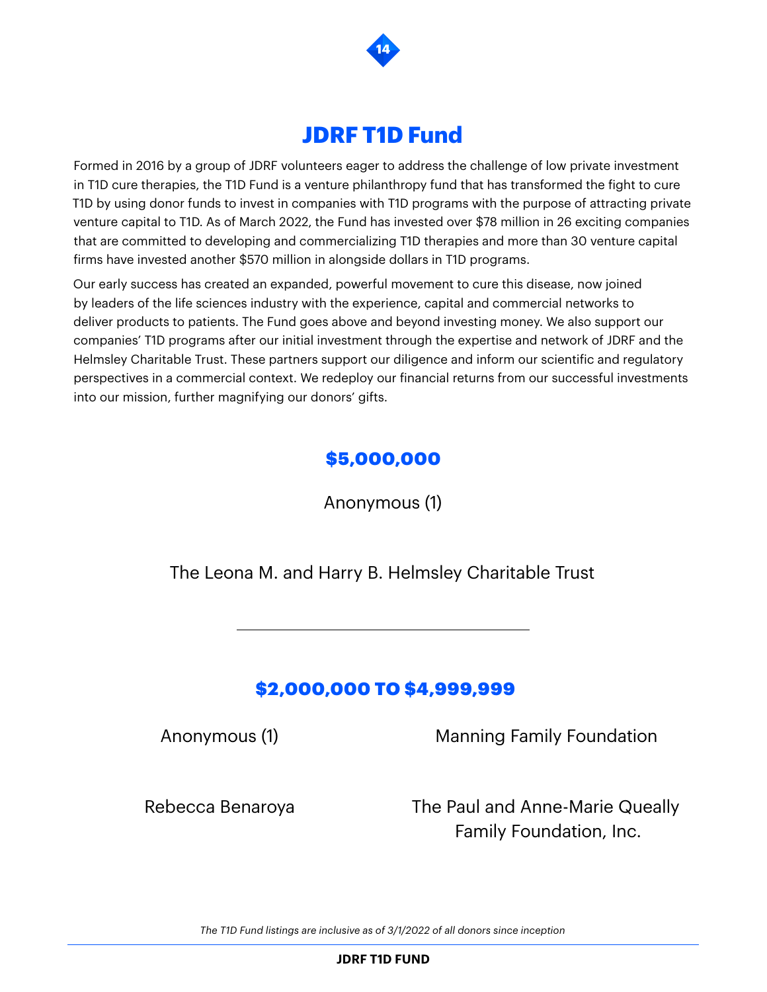

## **JDRF T1D Fund**

Formed in 2016 by a group of JDRF volunteers eager to address the challenge of low private investment in T1D cure therapies, the T1D Fund is a venture philanthropy fund that has transformed the fight to cure T1D by using donor funds to invest in companies with T1D programs with the purpose of attracting private venture capital to T1D. As of March 2022, the Fund has invested over \$78 million in 26 exciting companies that are committed to developing and commercializing T1D therapies and more than 30 venture capital firms have invested another \$570 million in alongside dollars in T1D programs.

Our early success has created an expanded, powerful movement to cure this disease, now joined by leaders of the life sciences industry with the experience, capital and commercial networks to deliver products to patients. The Fund goes above and beyond investing money. We also support our companies' T1D programs after our initial investment through the expertise and network of JDRF and the Helmsley Charitable Trust. These partners support our diligence and inform our scientific and regulatory perspectives in a commercial context. We redeploy our financial returns from our successful investments into our mission, further magnifying our donors' gifts.

## \$5,000,000

Anonymous (1)

The Leona M. and Harry B. Helmsley Charitable Trust

## \$2,000,000 TO \$4,999,999

Anonymous (1)

Manning Family Foundation

Rebecca Benaroya

The Paul and Anne-Marie Queally Family Foundation, Inc.

*The T1D Fund listings are inclusive as of 3/1/2022 of all donors since inception*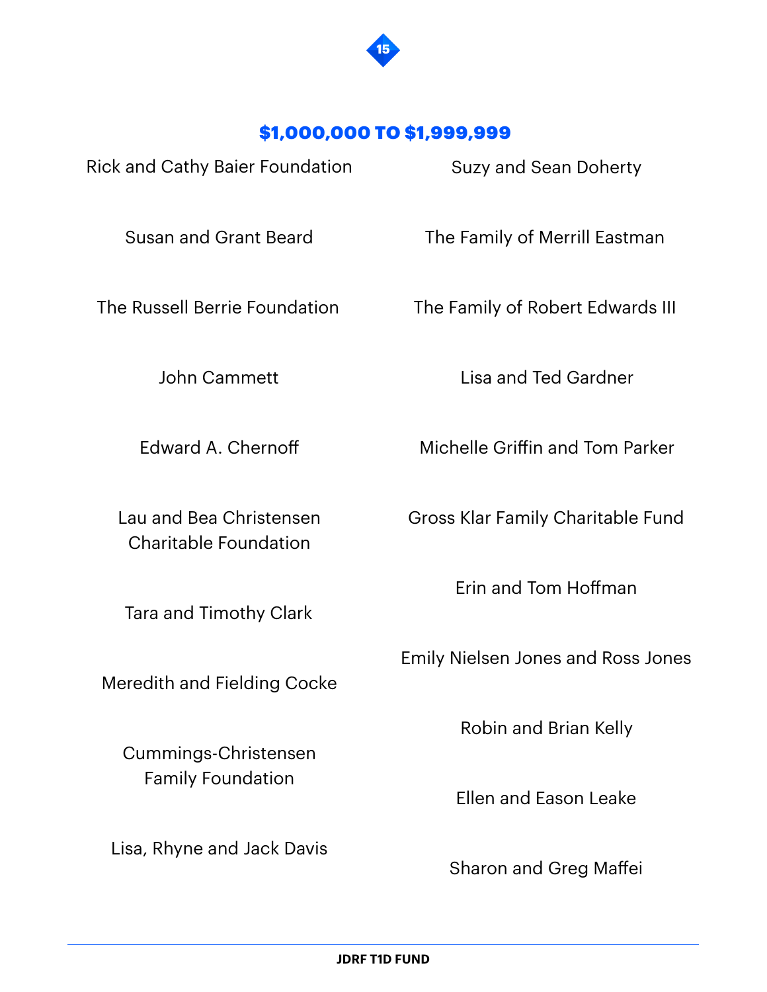

#### \$1,000,000 TO \$1,999,999

Rick and Cathy Baier Foundation Susan and Grant Beard The Russell Berrie Foundation John Cammett Edward A. Chernoff Lau and Bea Christensen Charitable Foundation Tara and Timothy Clark Meredith and Fielding Cocke Suzy and Sean Doherty The Family of Merrill Eastman The Family of Robert Edwards III Lisa and Ted Gardner Michelle Griffin and Tom Parker Gross Klar Family Charitable Fund Erin and Tom Hoffman Emily Nielsen Jones and Ross Jones

Robin and Brian Kelly

Ellen and Eason Leake

Sharon and Greg Maffei

Lisa, Rhyne and Jack Davis

Cummings-Christensen

Family Foundation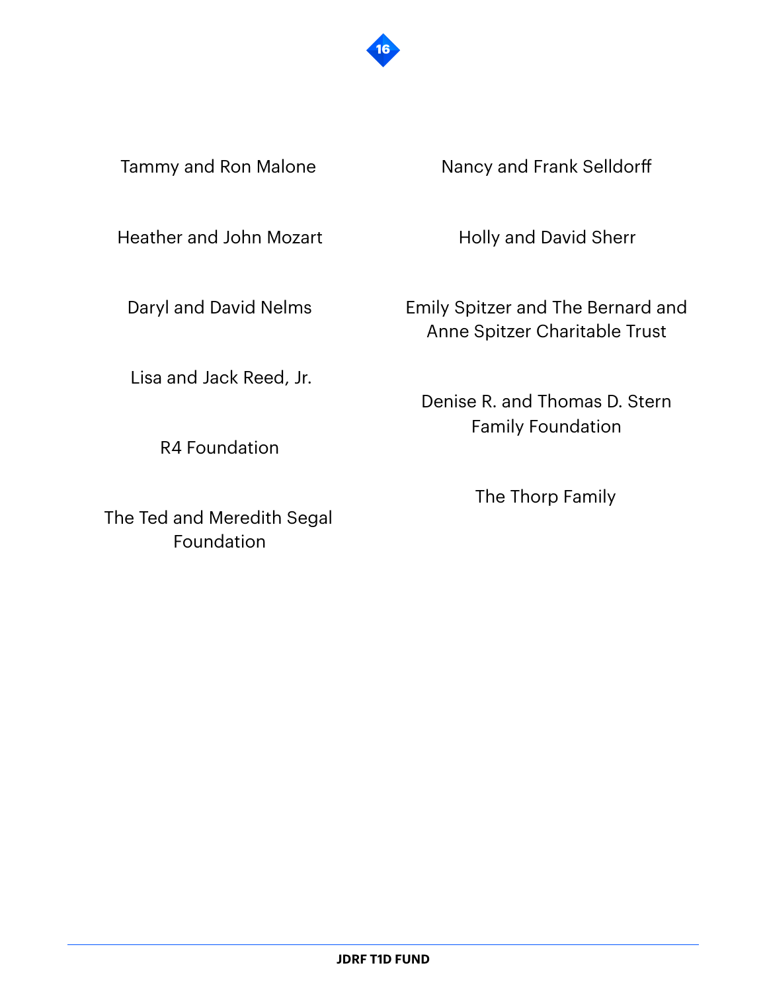

Tammy and Ron Malone

Heather and John Mozart

Daryl and David Nelms

Lisa and Jack Reed, Jr.

R4 Foundation

The Ted and Meredith Segal Foundation

Nancy and Frank Selldorff

Holly and David Sherr

Emily Spitzer and The Bernard and Anne Spitzer Charitable Trust

Denise R. and Thomas D. Stern Family Foundation

The Thorp Family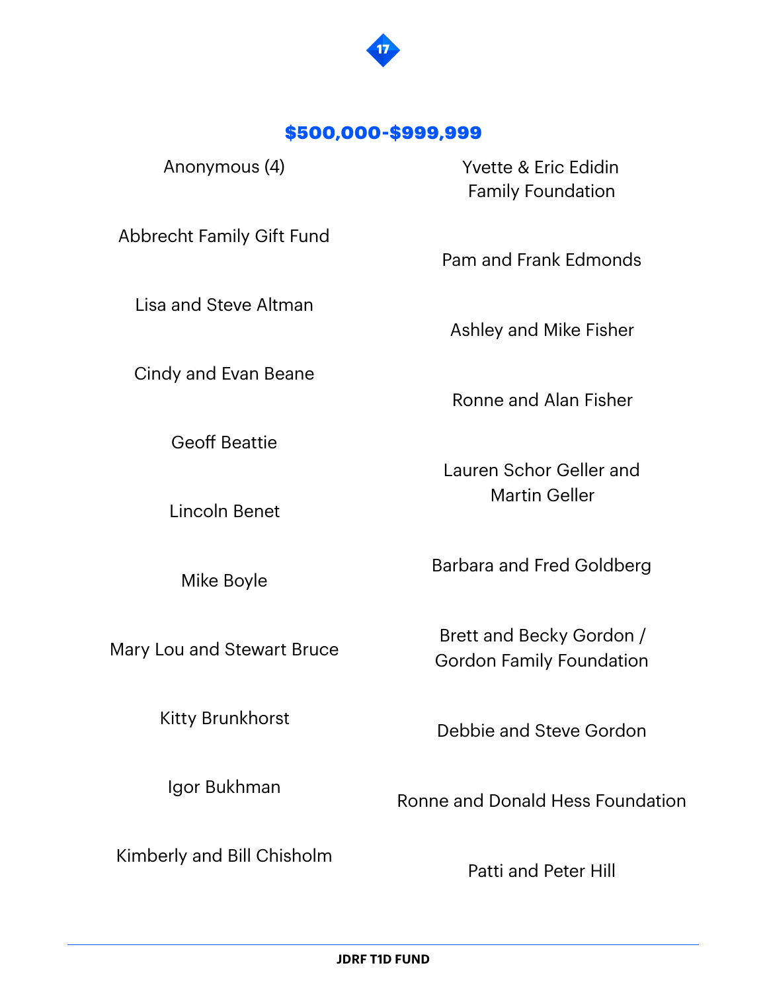

#### \$500,000-\$999,999

Anonymous (4)

Abbrecht Family Gift Fund

Lisa and Steve Altman

Cindy and Evan Beane

Geoff Beattie

Lincoln Benet

Mike Boyle

Mary Lou and Stewart Bruce

Kitty Brunkhorst

Igor Bukhman

Kimberly and Bill Chisholm

Yvette & Eric Edidin Family Foundation

Pam and Frank Edmonds

Ashley and Mike Fisher

Ronne and Alan Fisher

Lauren Schor Geller and Martin Geller

Barbara and Fred Goldberg

Brett and Becky Gordon / Gordon Family Foundation

Debbie and Steve Gordon

Ronne and Donald Hess Foundation

Patti and Peter Hill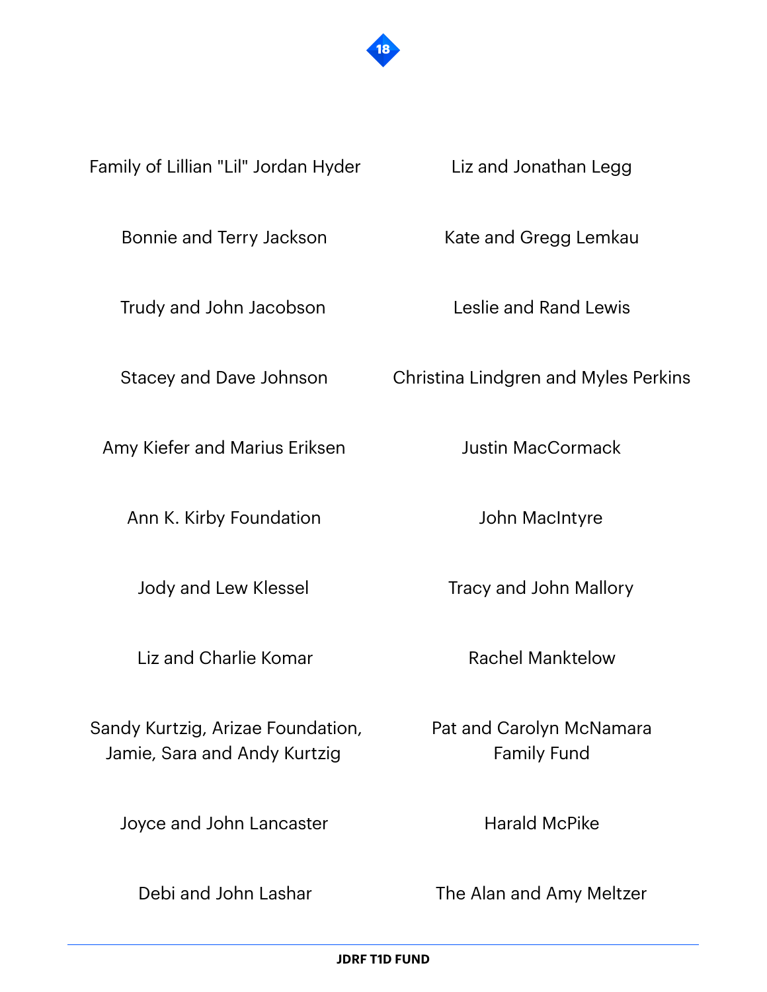

Family of Lillian "Lil" Jordan Hyder

Bonnie and Terry Jackson

Trudy and John Jacobson

Stacey and Dave Johnson

Amy Kiefer and Marius Eriksen

Ann K. Kirby Foundation

Jody and Lew Klessel

Liz and Charlie Komar

Sandy Kurtzig, Arizae Foundation, Jamie, Sara and Andy Kurtzig

Joyce and John Lancaster

Debi and John Lashar

Liz and Jonathan Legg

Kate and Gregg Lemkau

Leslie and Rand Lewis

Christina Lindgren and Myles Perkins

Justin MacCormack

John MacIntyre

Tracy and John Mallory

Rachel Manktelow

Pat and Carolyn McNamara Family Fund

Harald McPike

The Alan and Amy Meltzer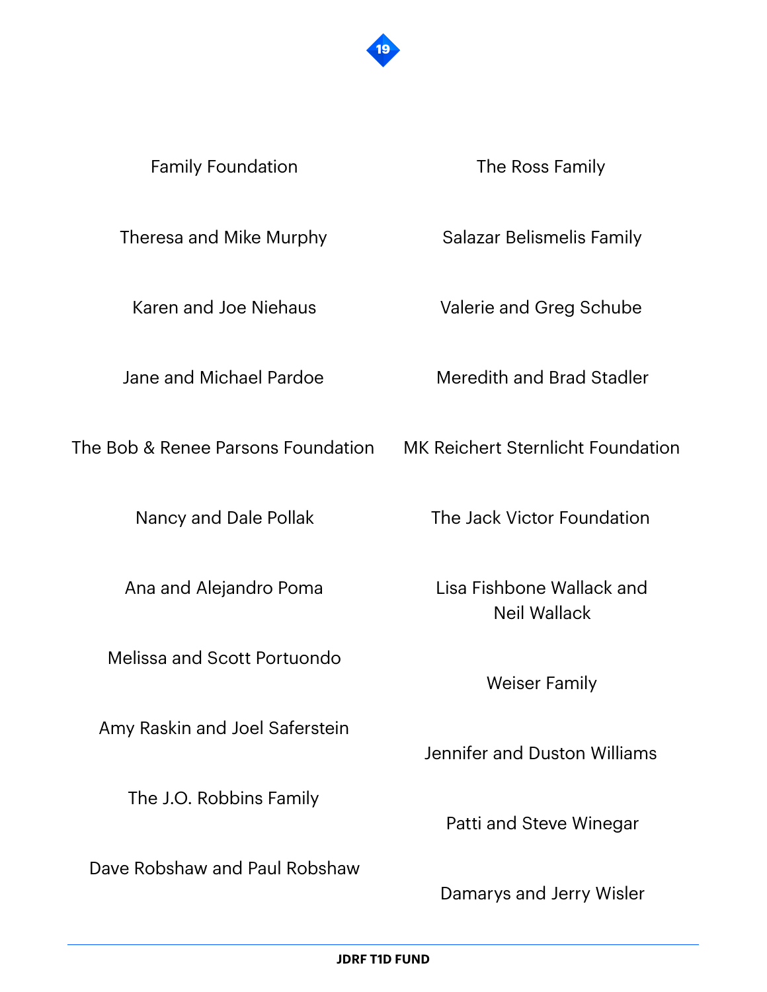

#### Family Foundation

The Ross Family

Theresa and Mike Murphy

Karen and Joe Niehaus

Jane and Michael Pardoe

The Bob & Renee Parsons Foundation MK Reichert Sternlicht Foundation

Nancy and Dale Pollak

Ana and Alejandro Poma

Melissa and Scott Portuondo

Amy Raskin and Joel Saferstein

The J.O. Robbins Family

Dave Robshaw and Paul Robshaw

Salazar Belismelis Family

Valerie and Greg Schube

Meredith and Brad Stadler

The Jack Victor Foundation

Lisa Fishbone Wallack and Neil Wallack

Weiser Family

Jennifer and Duston Williams

Patti and Steve Winegar

Damarys and Jerry Wisler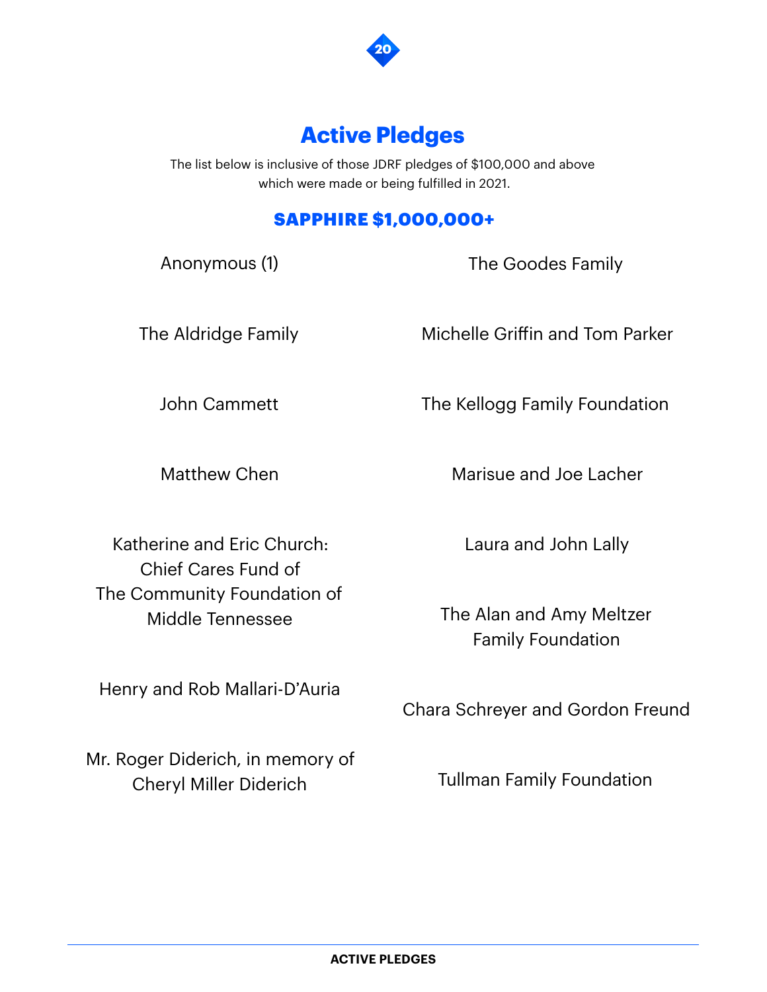

# **Active Pledges**

The list below is inclusive of those JDRF pledges of \$100,000 and above which were made or being fulfilled in 2021.

## SAPPHIRE \$1,000,000+

Anonymous (1)

The Goodes Family

The Aldridge Family

Michelle Griffin and Tom Parker

John Cammett

Matthew Chen

Marisue and Joe Lacher

The Kellogg Family Foundation

Katherine and Eric Church: Chief Cares Fund of The Community Foundation of Middle Tennessee

Henry and Rob Mallari-D'Auria

Mr. Roger Diderich, in memory of Cheryl Miller Diderich

Laura and John Lally

The Alan and Amy Meltzer Family Foundation

Chara Schreyer and Gordon Freund

Tullman Family Foundation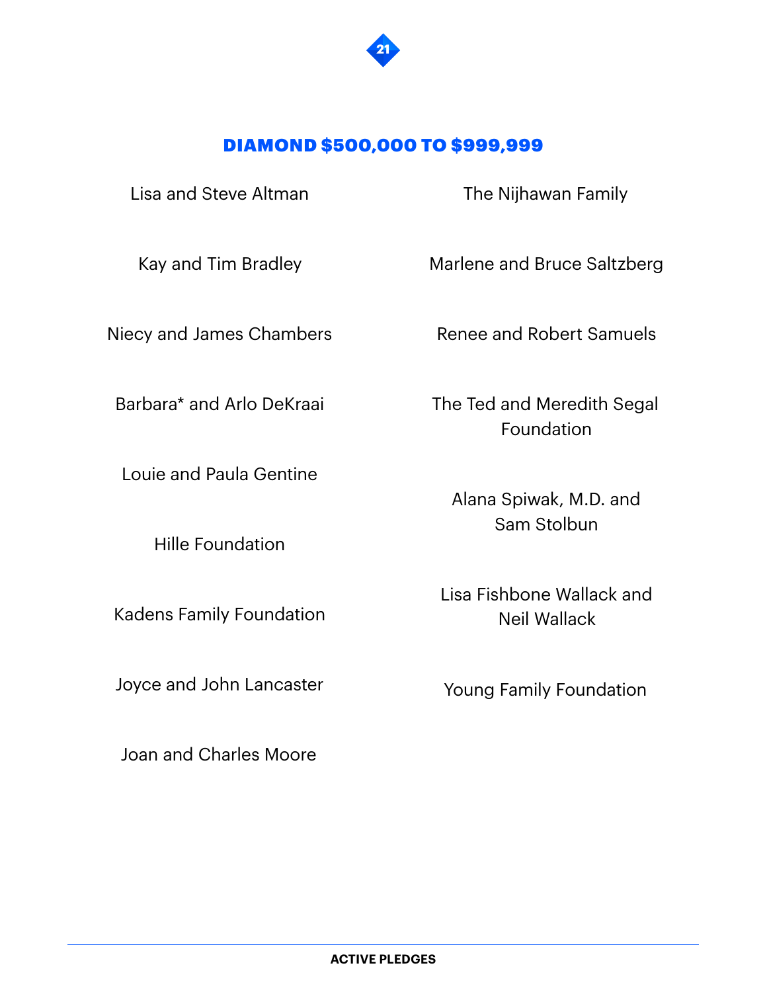

#### DIAMOND \$500,000 TO \$999,999

Lisa and Steve Altman

Kay and Tim Bradley

Niecy and James Chambers

Barbara\* and Arlo DeKraai

Louie and Paula Gentine

Hille Foundation

Kadens Family Foundation

Joyce and John Lancaster

Joan and Charles Moore

The Nijhawan Family

Marlene and Bruce Saltzberg

Renee and Robert Samuels

The Ted and Meredith Segal Foundation

Alana Spiwak, M.D. and Sam Stolbun

Lisa Fishbone Wallack and Neil Wallack

Young Family Foundation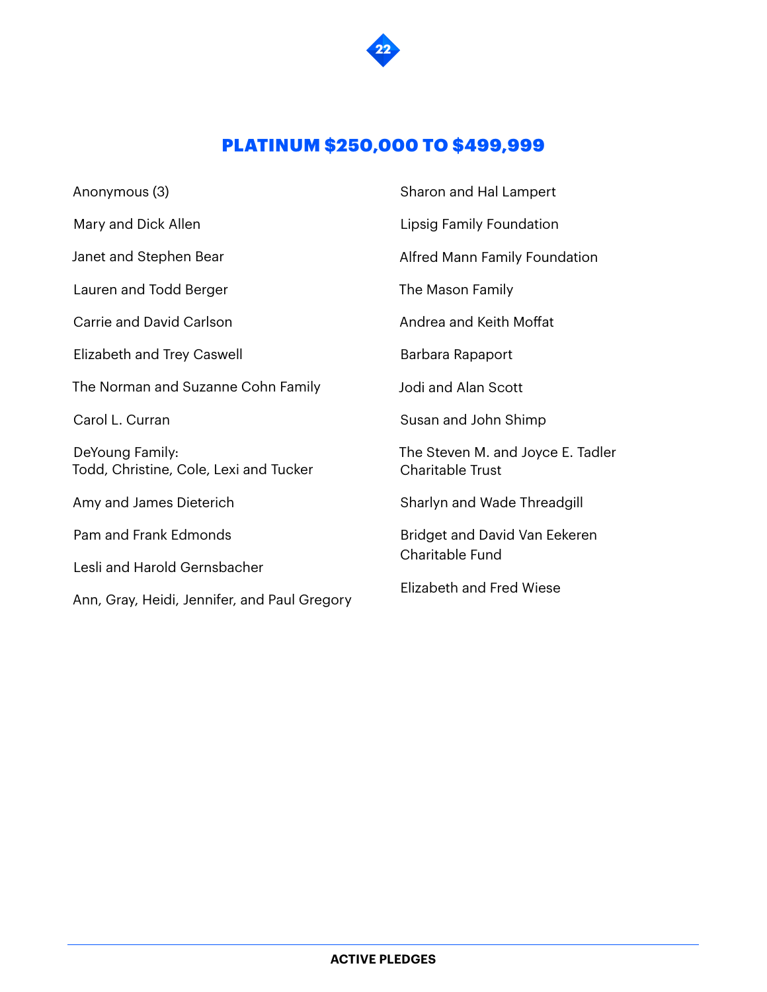

## PLATINUM \$250,000 TO \$499,999

| Anonymous (3)                                             | Sharon and Hal Lampert                                |  |
|-----------------------------------------------------------|-------------------------------------------------------|--|
| Mary and Dick Allen                                       | Lipsig Family Foundation                              |  |
| Janet and Stephen Bear                                    | Alfred Mann Family Foundation                         |  |
| Lauren and Todd Berger                                    | The Mason Family                                      |  |
| Carrie and David Carlson                                  | Andrea and Keith Moffat                               |  |
| Elizabeth and Trey Caswell                                | Barbara Rapaport                                      |  |
| The Norman and Suzanne Cohn Family                        | Jodi and Alan Scott                                   |  |
| Carol L. Curran                                           | Susan and John Shimp                                  |  |
| DeYoung Family:<br>Todd, Christine, Cole, Lexi and Tucker | The Steven M. and Joyce E. Tadler<br>Charitable Trust |  |
| Amy and James Dieterich                                   | Sharlyn and Wade Threadgill                           |  |
| Pam and Frank Edmonds                                     | Bridget and David Van Eekeren<br>Charitable Fund      |  |
| Lesli and Harold Gernsbacher                              |                                                       |  |
| Ann, Gray, Heidi, Jennifer, and Paul Gregory              | Elizabeth and Fred Wiese                              |  |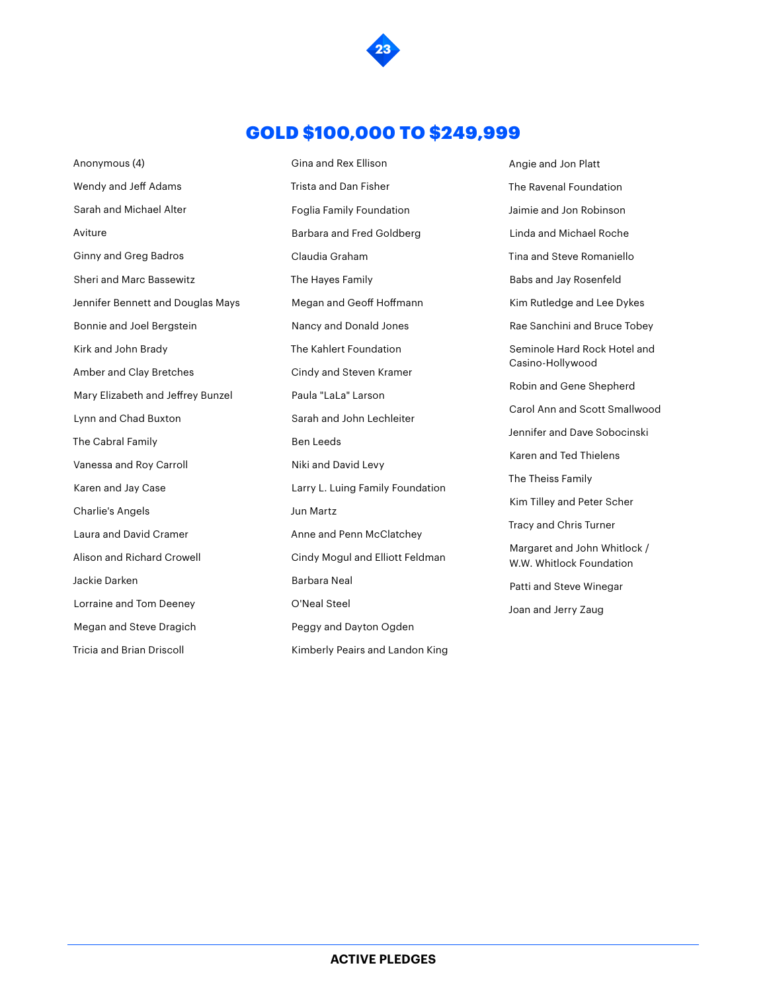

#### GOLD \$100,000 TO \$249,999

Anonymous (4) Wendy and Jeff Adams Sarah and Michael Alter Aviture Ginny and Greg Badros Sheri and Marc Bassewitz Jennifer Bennett and Douglas Mays Bonnie and Joel Bergstein Kirk and John Brady Amber and Clay Bretches Mary Elizabeth and Jeffrey Bunzel Lynn and Chad Buxton The Cabral Family Vanessa and Roy Carroll Karen and Jay Case Charlie's Angels Laura and David Cramer Alison and Richard Crowell Jackie Darken Lorraine and Tom Deeney Megan and Steve Dragich Tricia and Brian Driscoll

Gina and Rex Ellison Trista and Dan Fisher Foglia Family Foundation Barbara and Fred Goldberg Claudia Graham The Hayes Family Megan and Geoff Hoffmann Nancy and Donald Jones The Kahlert Foundation Cindy and Steven Kramer Paula "LaLa" Larson Sarah and John Lechleiter Ben Leeds Niki and David Levy Larry L. Luing Family Foundation Jun Martz Anne and Penn McClatchey Cindy Mogul and Elliott Feldman Barbara Neal O'Neal Steel Peggy and Dayton Ogden Kimberly Peairs and Landon King Angie and Jon Platt The Ravenal Foundation Jaimie and Jon Robinson Linda and Michael Roche Tina and Steve Romaniello Babs and Jay Rosenfeld Kim Rutledge and Lee Dykes Rae Sanchini and Bruce Tobey Seminole Hard Rock Hotel and Casino-Hollywood Robin and Gene Shepherd Carol Ann and Scott Smallwood Jennifer and Dave Sobocinski Karen and Ted Thielens The Theiss Family Kim Tilley and Peter Scher Tracy and Chris Turner Margaret and John Whitlock / W.W. Whitlock Foundation Patti and Steve Winegar Joan and Jerry Zaug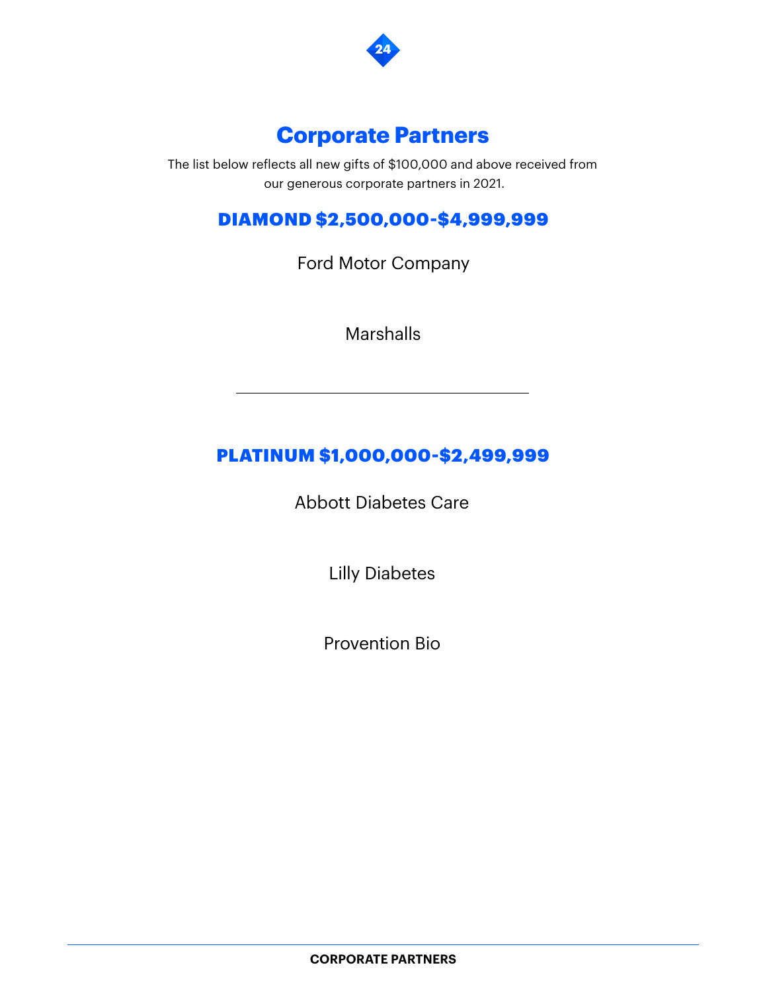

## **Corporate Partners**

The list below reflects all new gifts of \$100,000 and above received from our generous corporate partners in 2021.

## DIAMOND \$2,500,000-\$4,999,999

Ford Motor Company

Marshalls

## PLATINUM \$1,000,000-\$2,499,999

Abbott Diabetes Care

Lilly Diabetes

Provention Bio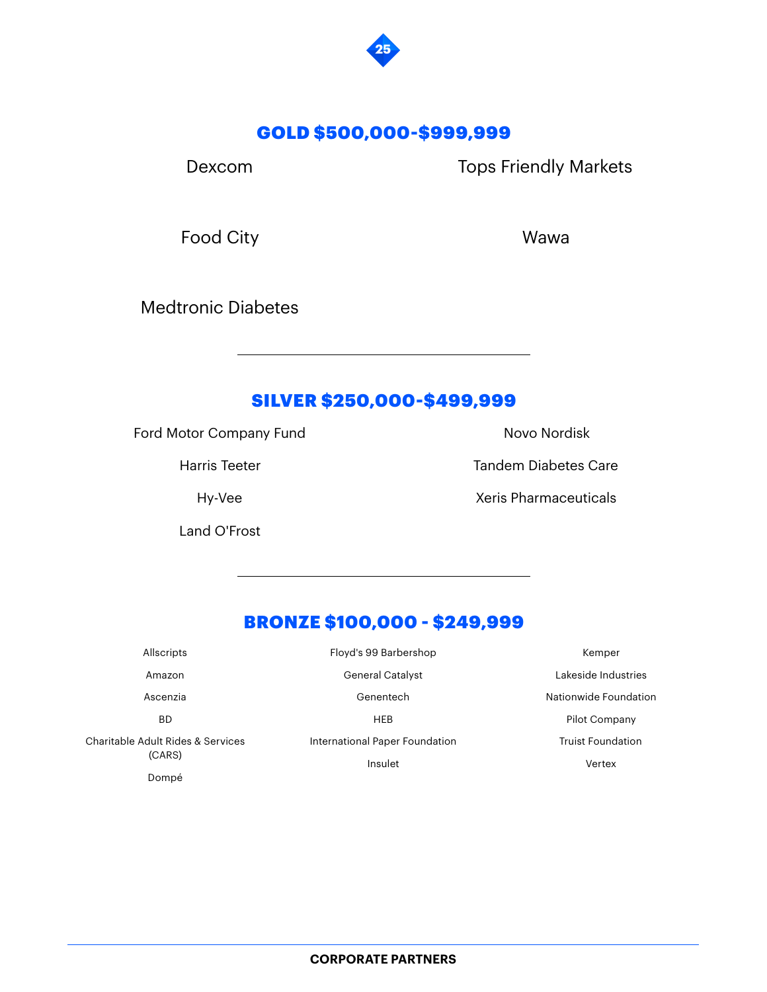

#### GOLD \$500,000-\$999,999

Dexcom

Tops Friendly Markets

Food City

Wawa

Medtronic Diabetes

#### SILVER \$250,000-\$499,999

Ford Motor Company Fund

Harris Teeter

Hy-Vee

Land O'Frost

Novo Nordisk

Tandem Diabetes Care

Xeris Pharmaceuticals

## BRONZE \$100,000 - \$249,999

| Allscripts                                  | Floyd's 99 Barbershop          | Kemper                   |
|---------------------------------------------|--------------------------------|--------------------------|
| Amazon                                      | <b>General Catalyst</b>        | Lakeside Industries      |
| Ascenzia                                    | Genentech                      | Nationwide Foundation    |
| <b>BD</b>                                   | <b>HEB</b>                     | Pilot Company            |
| Charitable Adult Rides & Services<br>(CARS) | International Paper Foundation | <b>Truist Foundation</b> |
|                                             | Insulet                        | Vertex                   |
| Dompé                                       |                                |                          |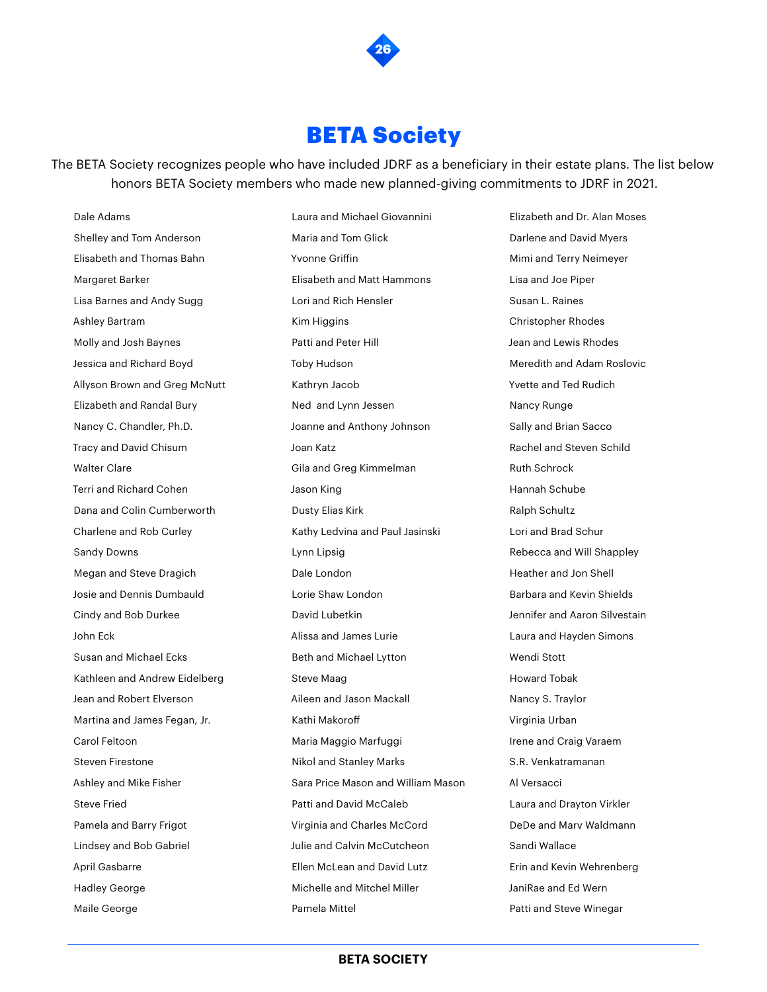

## **BETA Society**

The BETA Society recognizes people who have included JDRF as a beneficiary in their estate plans. The list below honors BETA Society members who made new planned-giving commitments to JDRF in 2021.

Dale Adams Shelley and Tom Anderson Elisabeth and Thomas Bahn Margaret Barker Lisa Barnes and Andy Sugg Ashley Bartram Molly and Josh Baynes Jessica and Richard Boyd Allyson Brown and Greg McNutt Elizabeth and Randal Bury Nancy C. Chandler, Ph.D. Tracy and David Chisum Walter Clare Terri and Richard Cohen Dana and Colin Cumberworth Charlene and Rob Curley Sandy Downs Megan and Steve Dragich Josie and Dennis Dumbauld Cindy and Bob Durkee John Eck Susan and Michael Ecks Kathleen and Andrew Eidelberg Jean and Robert Elverson Martina and James Fegan, Jr. Carol Feltoon Steven Firestone Ashley and Mike Fisher Steve Fried Pamela and Barry Frigot Lindsey and Bob Gabriel April Gasbarre Hadley George

Maile George

Laura and Michael Giovannini Maria and Tom Glick Yvonne Griffin Elisabeth and Matt Hammons Lori and Rich Hensler Kim Higgins Patti and Peter Hill Toby Hudson Kathryn Jacob Ned and Lynn Jessen Joanne and Anthony Johnson Joan Katz Gila and Greg Kimmelman Jason King Dusty Elias Kirk Kathy Ledvina and Paul Jasinski Lynn Lipsig Dale London Lorie Shaw London David Lubetkin Alissa and James Lurie Beth and Michael Lytton Steve Maag Aileen and Jason Mackall Kathi Makoroff Maria Maggio Marfuggi Nikol and Stanley Marks Sara Price Mason and William Mason Patti and David McCaleb Virginia and Charles McCord Julie and Calvin McCutcheon Ellen McLean and David Lutz Michelle and Mitchel Miller

Elizabeth and Dr. Alan Moses Darlene and David Myers Mimi and Terry Neimeyer Lisa and Joe Piper Susan L. Raines Christopher Rhodes Jean and Lewis Rhodes Meredith and Adam Roslovic Yvette and Ted Rudich Nancy Runge Sally and Brian Sacco Rachel and Steven Schild Ruth Schrock Hannah Schube Ralph Schultz Lori and Brad Schur Rebecca and Will Shappley Heather and Jon Shell Barbara and Kevin Shields Jennifer and Aaron Silvestain Laura and Hayden Simons Wendi Stott Howard Tobak Nancy S. Traylor Virginia Urban Irene and Craig Varaem S.R. Venkatramanan Al Versacci Laura and Drayton Virkler DeDe and Marv Waldmann Sandi Wallace Erin and Kevin Wehrenberg JaniRae and Ed Wern Patti and Steve Winegar

**BETA SOCIETY**

Pamela Mittel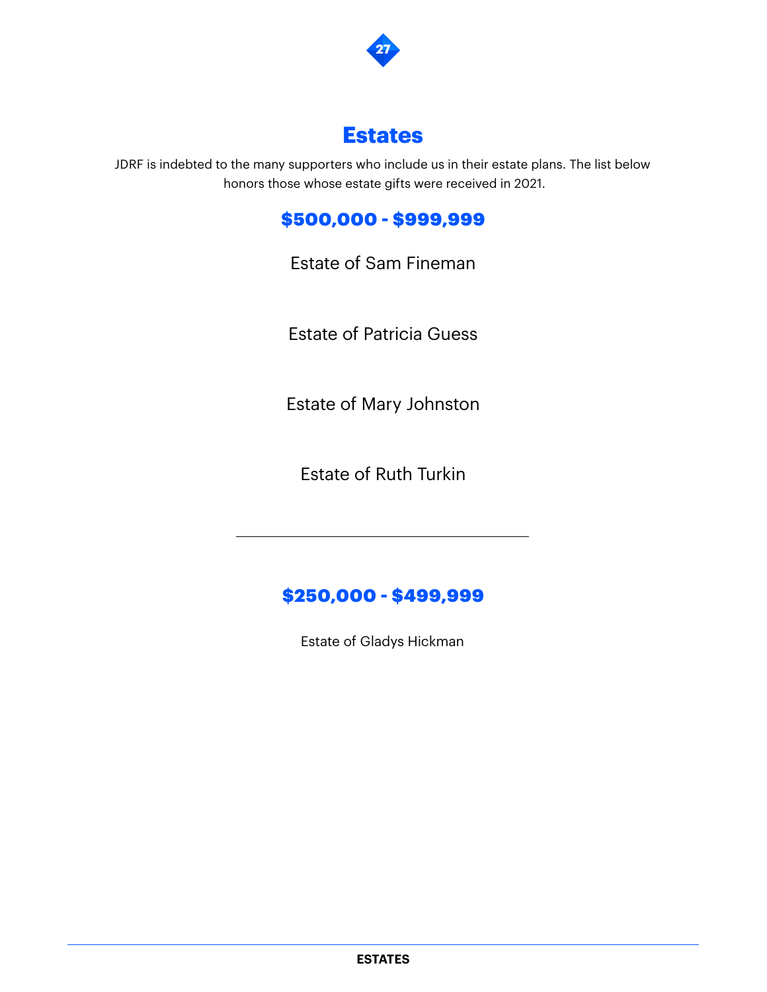

## **Estates**

JDRF is indebted to the many supporters who include us in their estate plans. The list below honors those whose estate gifts were received in 2021.

## \$500,000 - \$999,999

Estate of Sam Fineman

Estate of Patricia Guess

Estate of Mary Johnston

Estate of Ruth Turkin

## \$250,000 - \$499,999

Estate of Gladys Hickman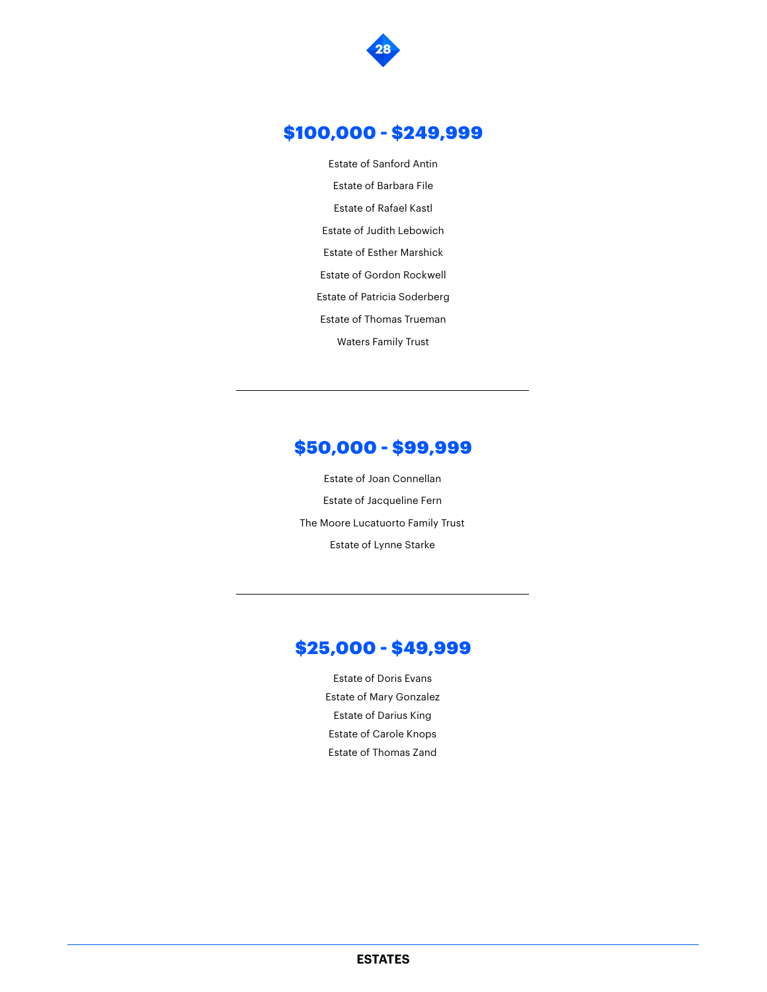

#### \$100,000 - \$249,999

Estate of Sanford Antin Estate of Barbara File Estate of Rafael Kastl Estate of Judith Lebowich Estate of Esther Marshick Estate of Gordon Rockwell Estate of Patricia Soderberg Estate of Thomas Trueman Waters Family Trust

#### \$50,000 - \$99,999

Estate of Joan Connellan Estate of Jacqueline Fern The Moore Lucatuorto Family Trust Estate of Lynne Starke

#### \$25,000 - \$49,999

Estate of Doris Evans Estate of Mary Gonzalez Estate of Darius King Estate of Carole Knops Estate of Thomas Zand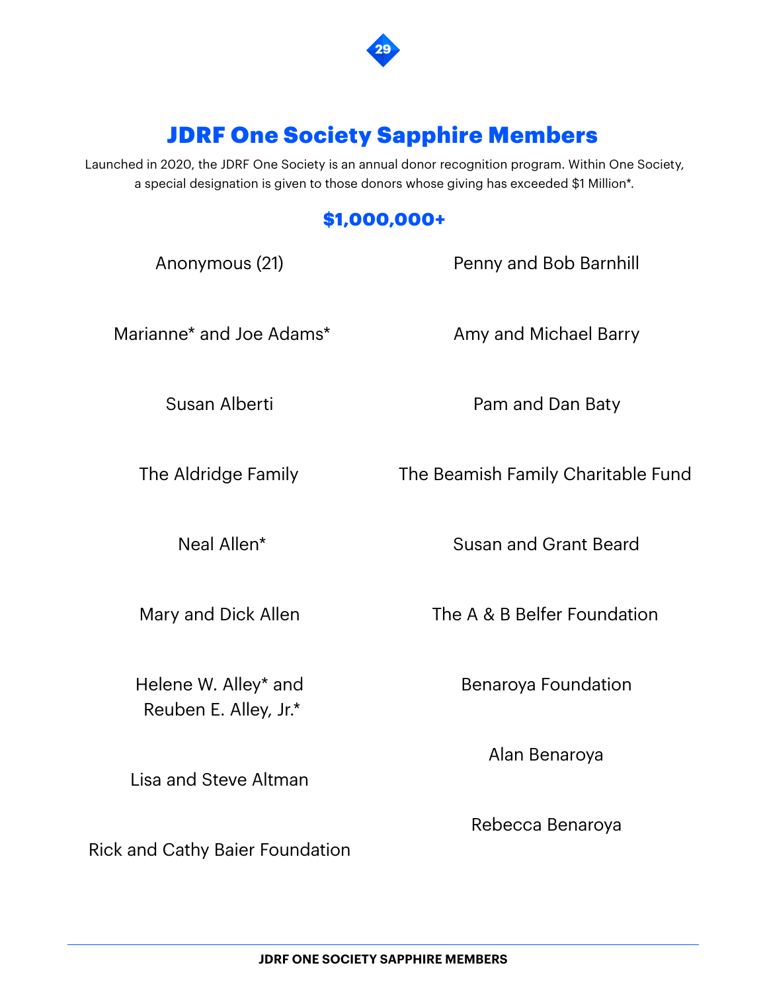

# JDRF One Society Sapphire Members

Launched in 2020, the JDRF One Society is an annual donor recognition program. Within One Society, a special designation is given to those donors whose giving has exceeded \$1 Million\*.

## \$1,000,000+

| Anonymous (21)           | Penny and Bob Barnhill             |
|--------------------------|------------------------------------|
| Marianne* and Joe Adams* | Amy and Michael Barry              |
| Susan Alberti            | Pam and Dan Baty                   |
| The Aldridge Family      | The Beamish Family Charitable Fund |
| Neal Allen*              | <b>Susan and Grant Beard</b>       |
| Mary and Dick Allen      | The A & B Belfer Foundation        |

Helene W. Alley\* and Reuben E. Alley, Jr.\*

Lisa and Steve Altman

Rick and Cathy Baier Foundation

Benaroya Foundation

Alan Benaroya

Rebecca Benaroya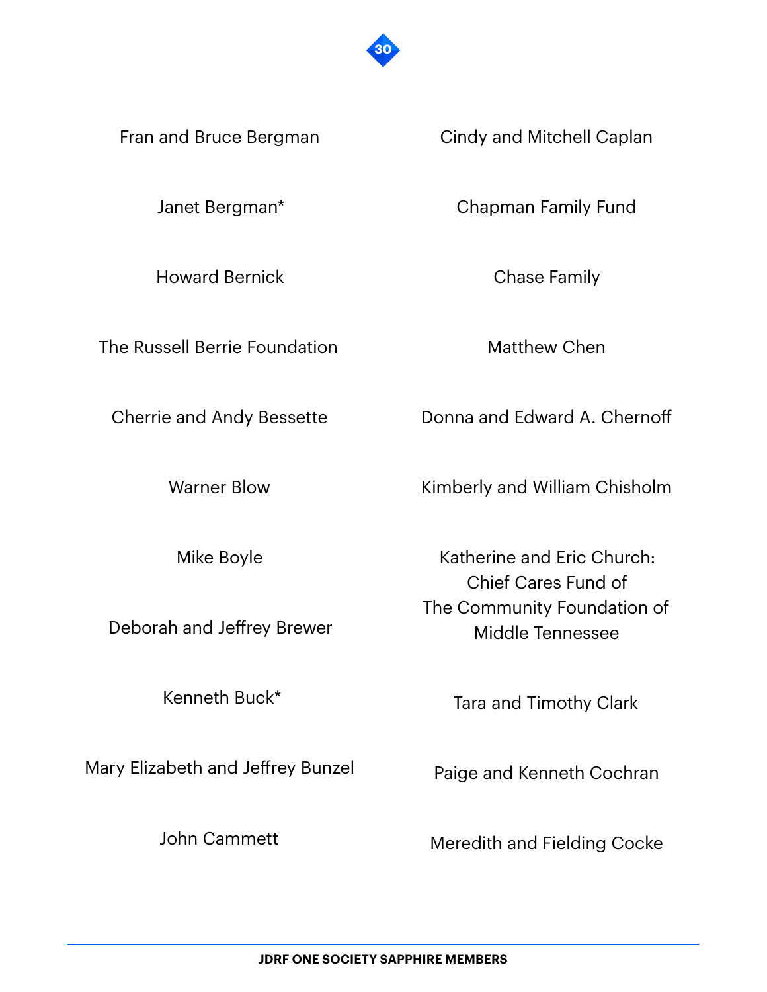

Fran and Bruce Bergman

Janet Bergman\*

Howard Bernick

The Russell Berrie Foundation

Cherrie and Andy Bessette

Warner Blow

Mike Boyle

Deborah and Jeffrey Brewer

Kenneth Buck\*

Mary Elizabeth and Jeffrey Bunzel

John Cammett

Cindy and Mitchell Caplan

Chapman Family Fund

Chase Family

Matthew Chen

Donna and Edward A. Chernoff

Kimberly and William Chisholm

Katherine and Eric Church: Chief Cares Fund of The Community Foundation of Middle Tennessee

Tara and Timothy Clark

Paige and Kenneth Cochran

Meredith and Fielding Cocke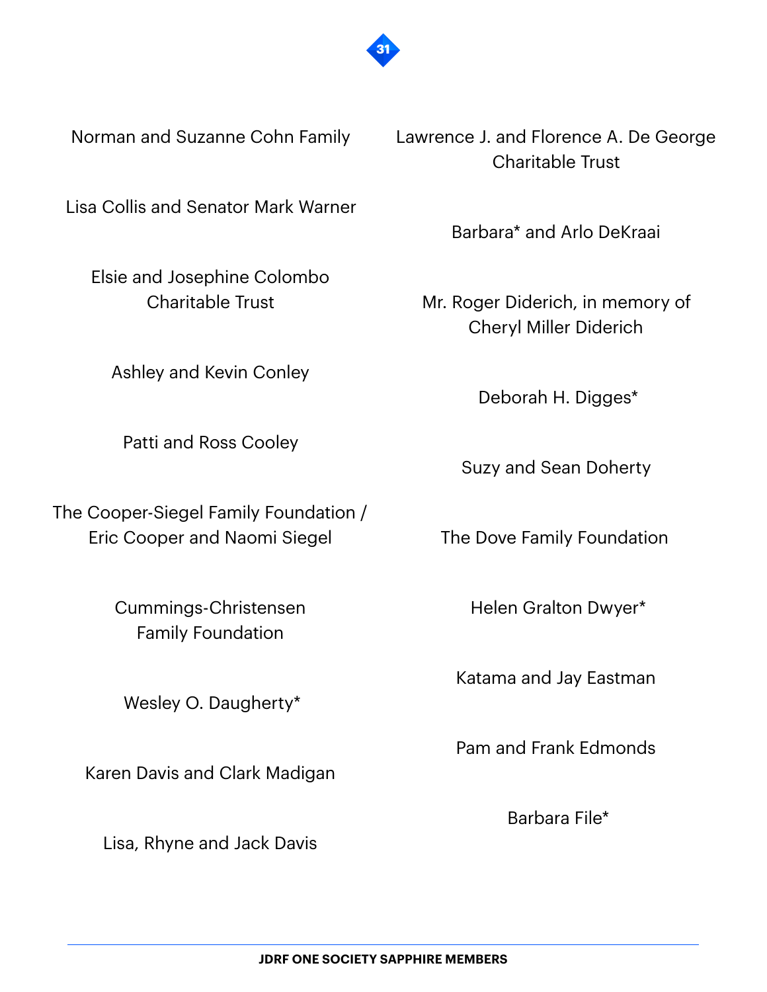

Norman and Suzanne Cohn Family

Lisa Collis and Senator Mark Warner

Elsie and Josephine Colombo Charitable Trust

Ashley and Kevin Conley

Patti and Ross Cooley

The Cooper-Siegel Family Foundation / Eric Cooper and Naomi Siegel

> Cummings-Christensen Family Foundation

Wesley O. Daugherty\*

Karen Davis and Clark Madigan

Lisa, Rhyne and Jack Davis

Lawrence J. and Florence A. De George Charitable Trust

Barbara\* and Arlo DeKraai

Mr. Roger Diderich, in memory of Cheryl Miller Diderich

Deborah H. Digges\*

Suzy and Sean Doherty

The Dove Family Foundation

Helen Gralton Dwyer\*

Katama and Jay Eastman

Pam and Frank Edmonds

Barbara File\*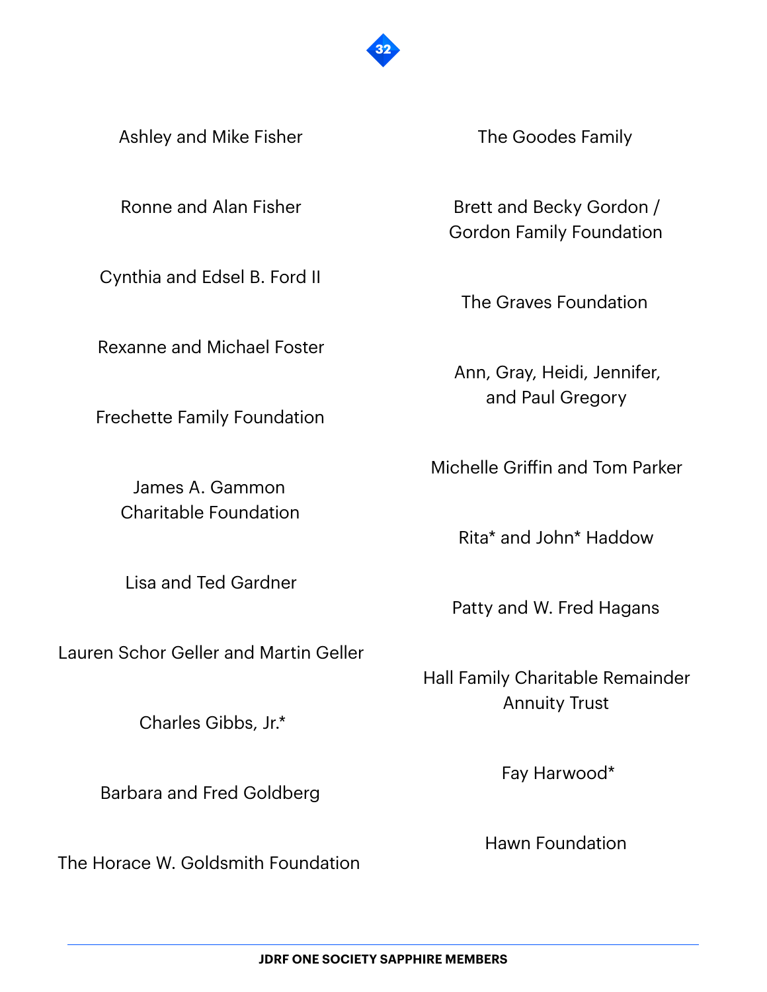

Ashley and Mike Fisher

Ronne and Alan Fisher

Cynthia and Edsel B. Ford II

Rexanne and Michael Foster

Frechette Family Foundation

James A. Gammon Charitable Foundation

Lisa and Ted Gardner

Lauren Schor Geller and Martin Geller

Charles Gibbs, Jr.\*

Barbara and Fred Goldberg

The Horace W. Goldsmith Foundation

The Goodes Family

Brett and Becky Gordon / Gordon Family Foundation

The Graves Foundation

Ann, Gray, Heidi, Jennifer, and Paul Gregory

Michelle Griffin and Tom Parker

Rita\* and John\* Haddow

Patty and W. Fred Hagans

Hall Family Charitable Remainder Annuity Trust

Fay Harwood\*

Hawn Foundation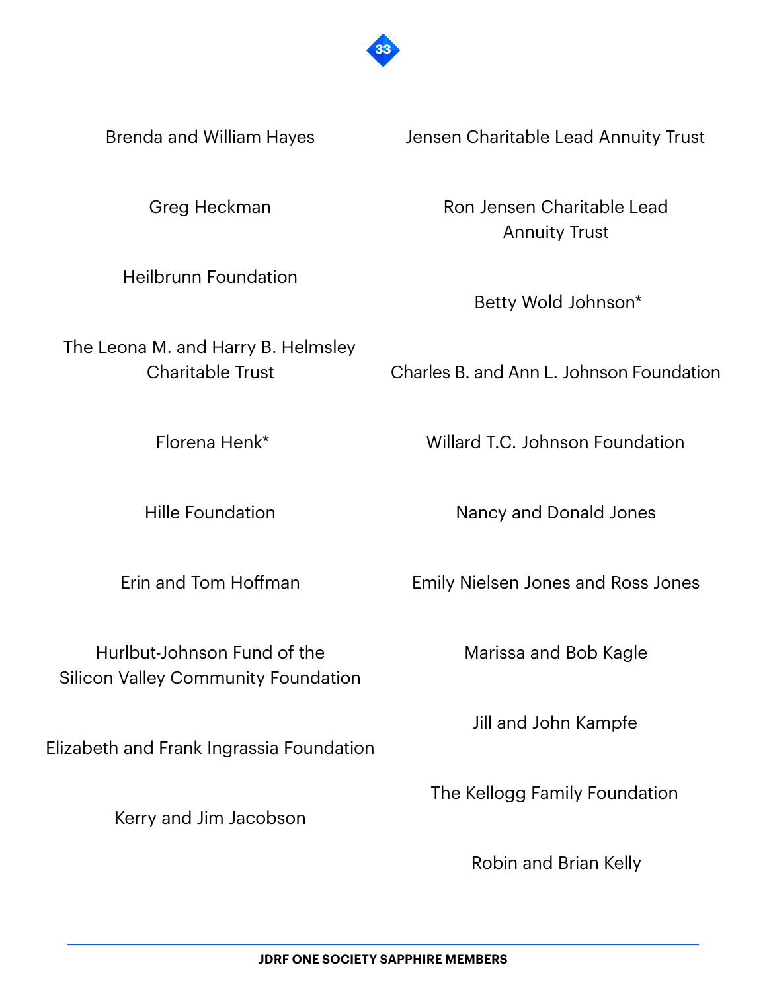

Brenda and William Hayes

Greg Heckman

Heilbrunn Foundation

The Leona M. and Harry B. Helmsley Charitable Trust

Florena Henk\*

Hille Foundation

Erin and Tom Hoffman

Hurlbut-Johnson Fund of the Silicon Valley Community Foundation

Elizabeth and Frank Ingrassia Foundation

Kerry and Jim Jacobson

Jensen Charitable Lead Annuity Trust

Ron Jensen Charitable Lead Annuity Trust

Betty Wold Johnson\*

Charles B. and Ann L. Johnson Foundation

Willard T.C. Johnson Foundation

Nancy and Donald Jones

Emily Nielsen Jones and Ross Jones

Marissa and Bob Kagle

Jill and John Kampfe

The Kellogg Family Foundation

Robin and Brian Kelly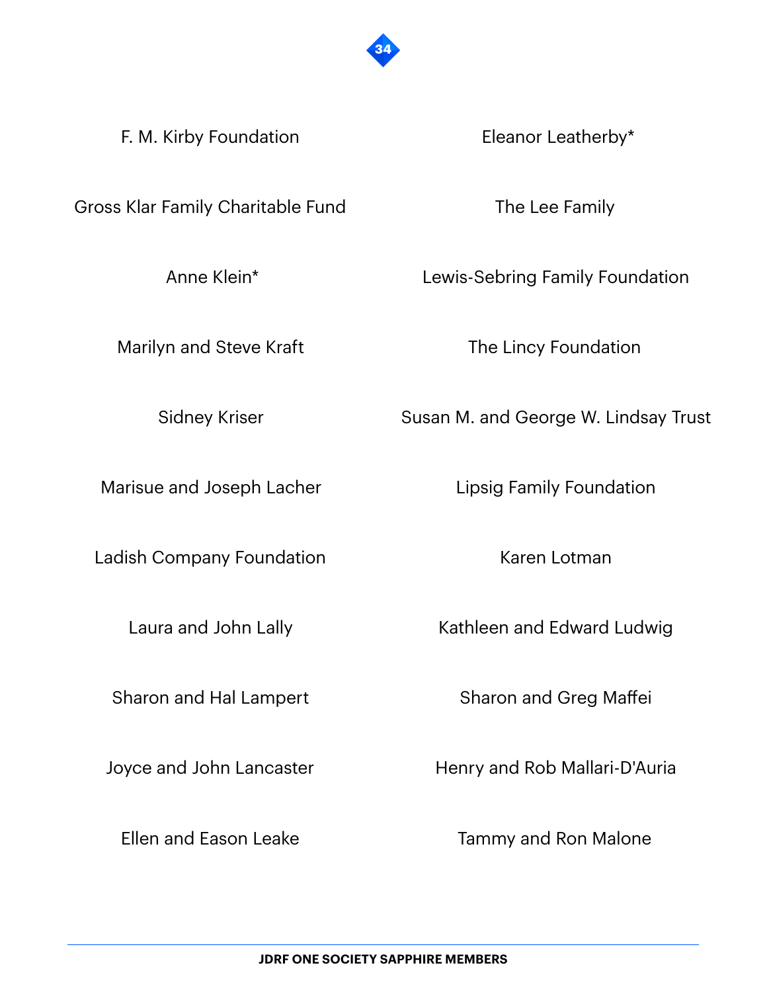

F. M. Kirby Foundation

Eleanor Leatherby\*

Gross Klar Family Charitable Fund

Anne Klein\*

Marilyn and Steve Kraft

Sidney Kriser

Marisue and Joseph Lacher

Ladish Company Foundation

Laura and John Lally

Sharon and Hal Lampert

Joyce and John Lancaster

Ellen and Eason Leake

The Lee Family

Lewis-Sebring Family Foundation

The Lincy Foundation

Susan M. and George W. Lindsay Trust

Lipsig Family Foundation

Karen Lotman

Kathleen and Edward Ludwig

Sharon and Greg Maffei

Henry and Rob Mallari-D'Auria

Tammy and Ron Malone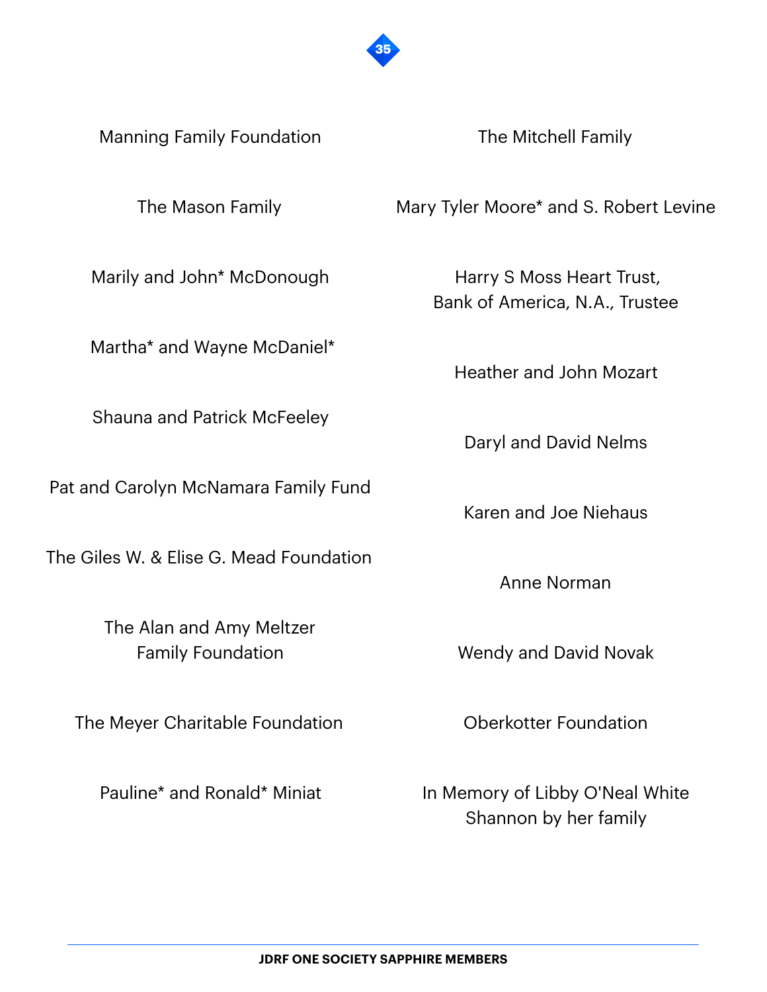

Manning Family Foundation

The Mason Family

Marily and John\* McDonough

Martha\* and Wayne McDaniel\*

Shauna and Patrick McFeeley

Pat and Carolyn McNamara Family Fund

The Giles W. & Elise G. Mead Foundation

The Alan and Amy Meltzer Family Foundation

The Meyer Charitable Foundation

Pauline\* and Ronald\* Miniat

The Mitchell Family

Mary Tyler Moore\* and S. Robert Levine

Harry S Moss Heart Trust, Bank of America, N.A., Trustee

Heather and John Mozart

Daryl and David Nelms

Karen and Joe Niehaus

Anne Norman

Wendy and David Novak

Oberkotter Foundation

In Memory of Libby O'Neal White Shannon by her family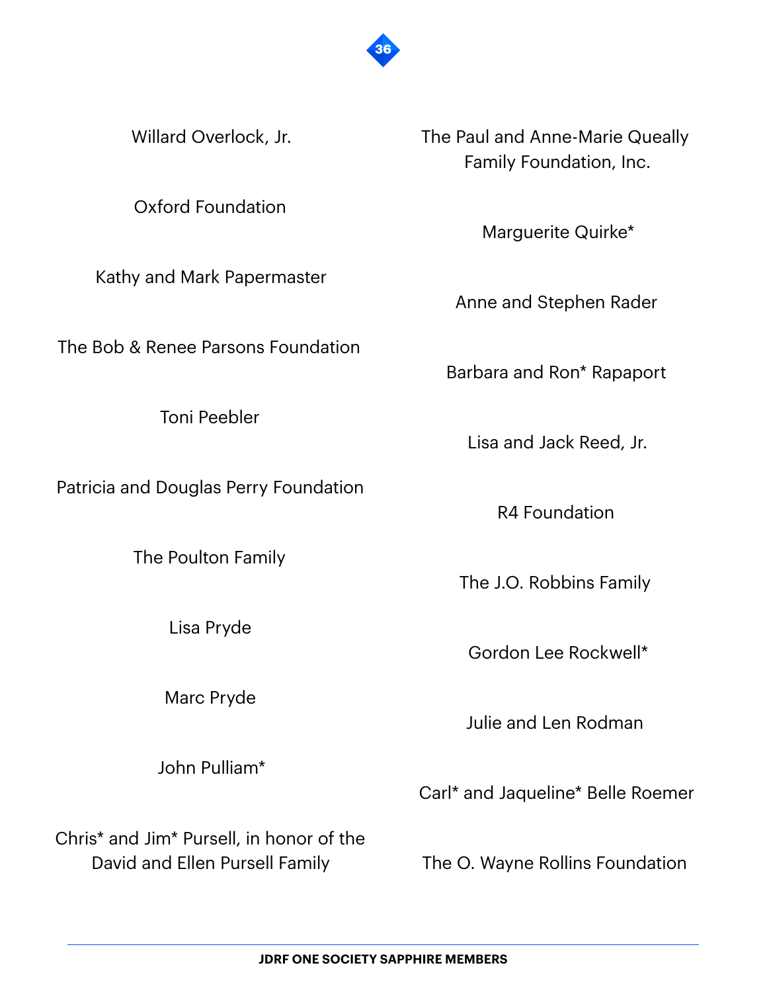

Willard Overlock, Jr.

Oxford Foundation

Kathy and Mark Papermaster

The Bob & Renee Parsons Foundation

Toni Peebler

Patricia and Douglas Perry Foundation

The Poulton Family

Lisa Pryde

Marc Pryde

John Pulliam\*

Chris\* and Jim\* Pursell, in honor of the David and Ellen Pursell Family

The Paul and Anne-Marie Queally Family Foundation, Inc.

Marguerite Quirke\*

Anne and Stephen Rader

Barbara and Ron\* Rapaport

Lisa and Jack Reed, Jr.

R4 Foundation

The J.O. Robbins Family

Gordon Lee Rockwell\*

Julie and Len Rodman

Carl\* and Jaqueline\* Belle Roemer

The O. Wayne Rollins Foundation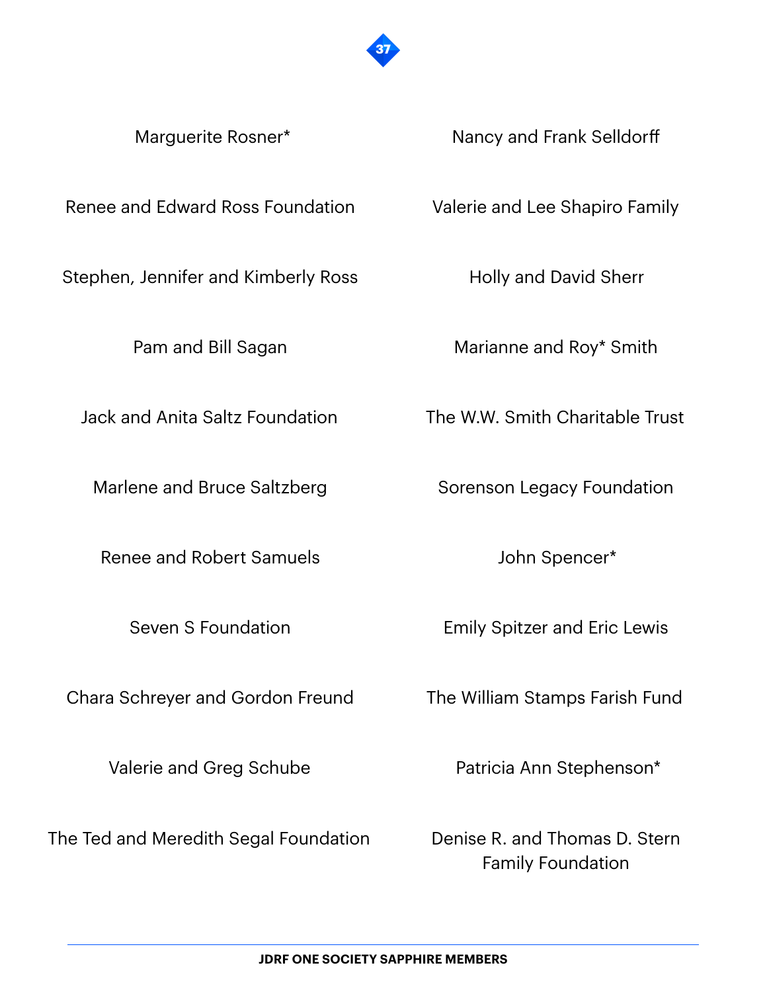

Marguerite Rosner\*

Nancy and Frank Selldorff

Renee and Edward Ross Foundation

Stephen, Jennifer and Kimberly Ross

Pam and Bill Sagan

Jack and Anita Saltz Foundation

Marlene and Bruce Saltzberg

Renee and Robert Samuels

Seven S Foundation

Chara Schreyer and Gordon Freund

Valerie and Greg Schube

The Ted and Meredith Segal Foundation

Valerie and Lee Shapiro Family

Holly and David Sherr

Marianne and Roy\* Smith

The W.W. Smith Charitable Trust

Sorenson Legacy Foundation

John Spencer\*

Emily Spitzer and Eric Lewis

The William Stamps Farish Fund

Patricia Ann Stephenson\*

Denise R. and Thomas D. Stern Family Foundation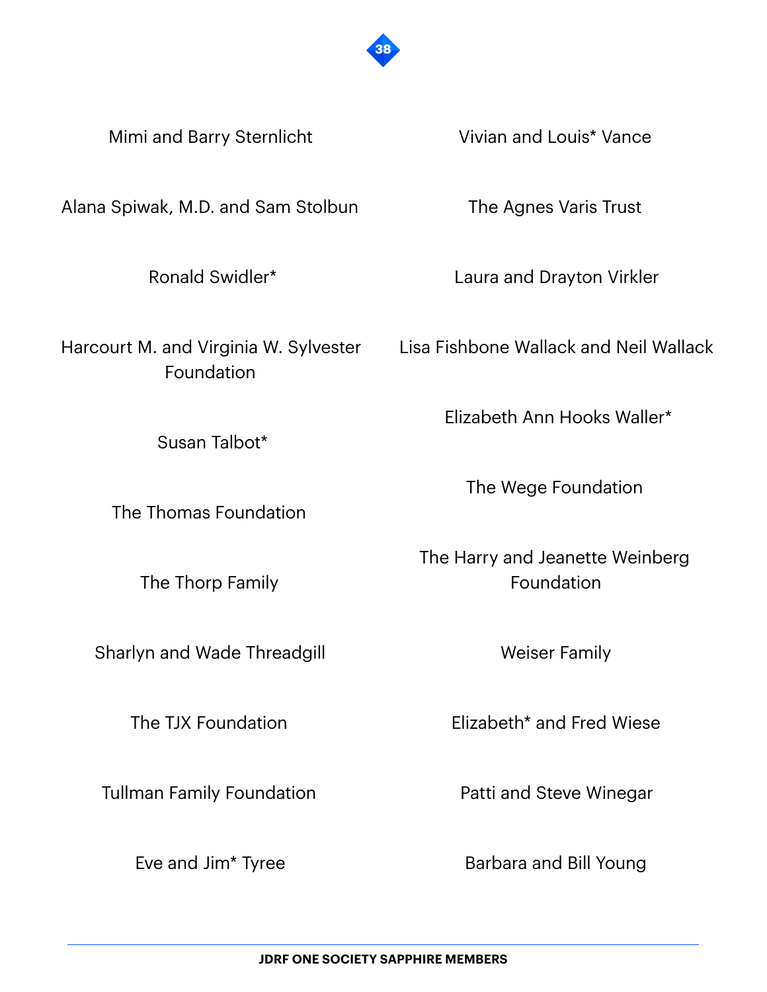

Mimi and Barry Sternlicht

Alana Spiwak, M.D. and Sam Stolbun

Ronald Swidler\*

Harcourt M. and Virginia W. Sylvester Foundation

Susan Talbot\*

The Thomas Foundation

The Thorp Family

Sharlyn and Wade Threadgill

The TJX Foundation

Tullman Family Foundation

Eve and Jim\* Tyree

Vivian and Louis\* Vance

The Agnes Varis Trust

Laura and Drayton Virkler

Lisa Fishbone Wallack and Neil Wallack

Elizabeth Ann Hooks Waller\*

The Wege Foundation

The Harry and Jeanette Weinberg Foundation

Weiser Family

Elizabeth\* and Fred Wiese

Patti and Steve Winegar

Barbara and Bill Young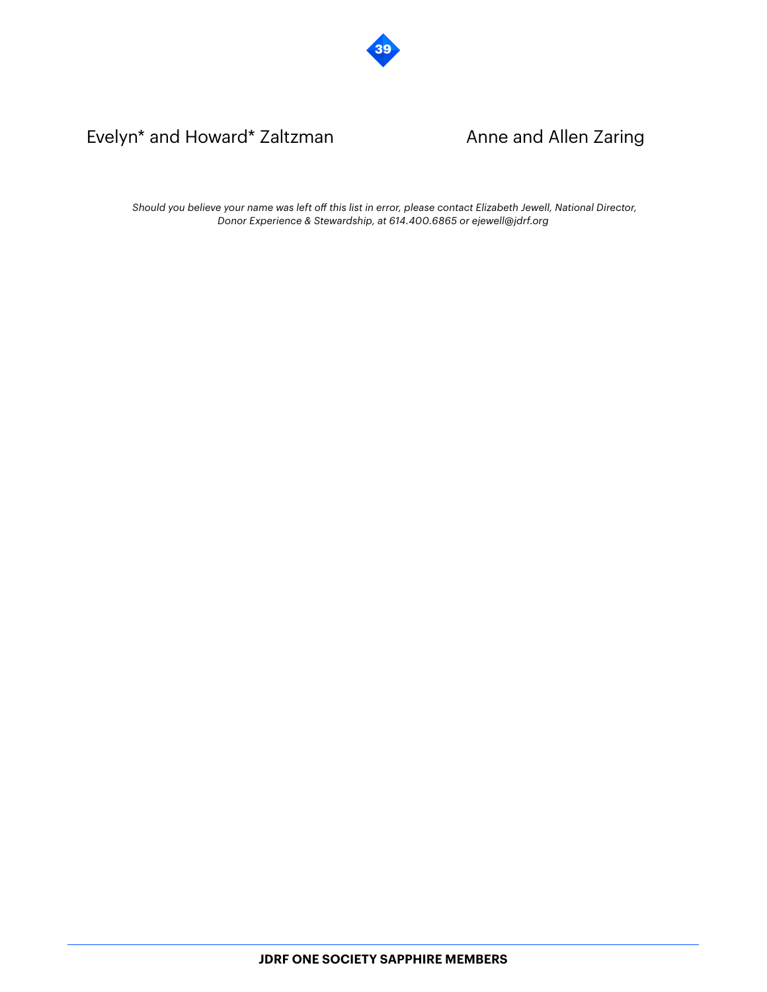

## Evelyn\* and Howard\* Zaltzman Anne and Allen Zaring

*Should you believe your name was left off this list in error, please contact Elizabeth Jewell, National Director, Donor Experience & Stewardship, at 614.400.6865 or ejewell@jdrf.org*